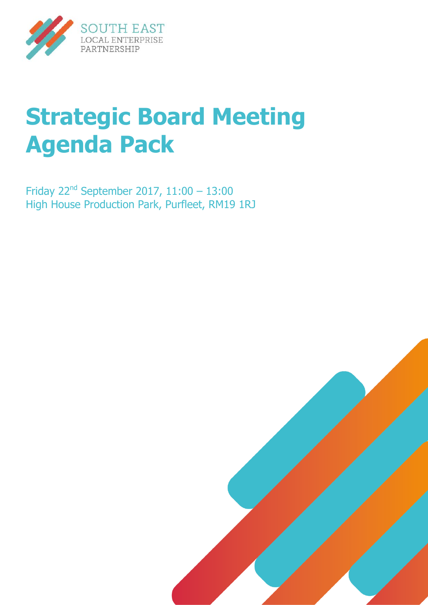

# **Strategic Board Meeting Agenda Pack**

Friday  $22^{nd}$  September 2017, 11:00 - 13:00 High House Production Park, Purfleet, RM19 1RJ

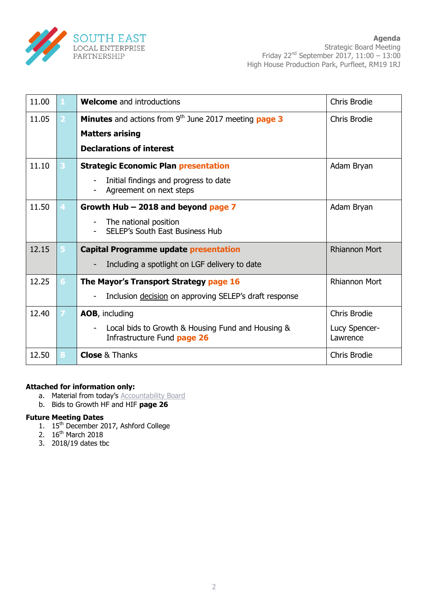

| 11.00 |    | <b>Welcome</b> and introductions                                                 | Chris Brodie              |
|-------|----|----------------------------------------------------------------------------------|---------------------------|
| 11.05 |    | <b>Minutes</b> and actions from $9th$ June 2017 meeting <b>page 3</b>            | <b>Chris Brodie</b>       |
|       |    | <b>Matters arising</b>                                                           |                           |
|       |    | <b>Declarations of interest</b>                                                  |                           |
| 11.10 |    | <b>Strategic Economic Plan presentation</b>                                      | Adam Bryan                |
|       |    | Initial findings and progress to date<br>Agreement on next steps                 |                           |
| 11.50 | 4  | Growth Hub $-$ 2018 and beyond page 7                                            | Adam Bryan                |
|       |    | The national position<br><b>SELEP's South East Business Hub</b>                  |                           |
| 12.15 |    | <b>Capital Programme update presentation</b>                                     | <b>Rhiannon Mort</b>      |
|       |    | Including a spotlight on LGF delivery to date                                    |                           |
| 12.25 | 6. | The Mayor's Transport Strategy page 16                                           | <b>Rhiannon Mort</b>      |
|       |    | Inclusion decision on approving SELEP's draft response                           |                           |
| 12.40 |    | AOB, including                                                                   | Chris Brodie              |
|       |    | Local bids to Growth & Housing Fund and Housing &<br>Infrastructure Fund page 26 | Lucy Spencer-<br>Lawrence |
| 12.50 | 8  | <b>Close &amp; Thanks</b>                                                        | <b>Chris Brodie</b>       |

#### **Attached for information only:**

- a. Material from today's **[Accountability Board](https://cmis.essexcc.gov.uk/essexcmis5/CalendarofMeetings/tabid/73/ctl/ViewMeetingPublic/mid/410/Meeting/3760/Committee/149/SelectedTab/Documents/Default.aspx)**
- b. Bids to Growth HF and HIF **page 26**

#### **Future Meeting Dates**

- 1. 15<sup>th</sup> December 2017, Ashford College
- 2. 16<sup>th</sup> March 2018
- 3. 2018/19 dates tbc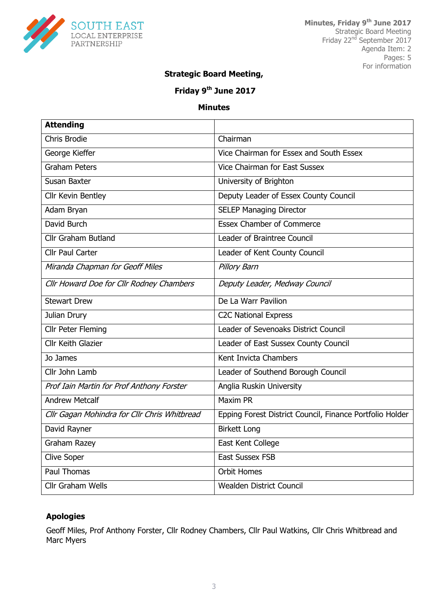

#### **Strategic Board Meeting,**

## **Friday 9th June 2017**

#### **Minutes**

| <b>Attending</b>                             |                                                          |
|----------------------------------------------|----------------------------------------------------------|
| Chris Brodie                                 | Chairman                                                 |
| George Kieffer                               | Vice Chairman for Essex and South Essex                  |
| <b>Graham Peters</b>                         | Vice Chairman for East Sussex                            |
| Susan Baxter                                 | University of Brighton                                   |
| Cllr Kevin Bentley                           | Deputy Leader of Essex County Council                    |
| Adam Bryan                                   | <b>SELEP Managing Director</b>                           |
| David Burch                                  | <b>Essex Chamber of Commerce</b>                         |
| <b>Cllr Graham Butland</b>                   | Leader of Braintree Council                              |
| <b>Cllr Paul Carter</b>                      | Leader of Kent County Council                            |
| Miranda Chapman for Geoff Miles              | Pillory Barn                                             |
| Cllr Howard Doe for Cllr Rodney Chambers     | Deputy Leader, Medway Council                            |
| <b>Stewart Drew</b>                          | De La Warr Pavilion                                      |
| Julian Drury                                 | <b>C2C National Express</b>                              |
| <b>Cllr Peter Fleming</b>                    | Leader of Sevenoaks District Council                     |
| Cllr Keith Glazier                           | Leader of East Sussex County Council                     |
| Jo James                                     | Kent Invicta Chambers                                    |
| Cllr John Lamb                               | Leader of Southend Borough Council                       |
| Prof Iain Martin for Prof Anthony Forster    | Anglia Ruskin University                                 |
| <b>Andrew Metcalf</b>                        | Maxim PR                                                 |
| Cllr Gagan Mohindra for Cllr Chris Whitbread | Epping Forest District Council, Finance Portfolio Holder |
| David Rayner                                 | <b>Birkett Long</b>                                      |
| Graham Razey                                 | East Kent College                                        |
| <b>Clive Soper</b>                           | <b>East Sussex FSB</b>                                   |
| Paul Thomas                                  | <b>Orbit Homes</b>                                       |
| <b>Cllr Graham Wells</b>                     | Wealden District Council                                 |

#### **Apologies**

Geoff Miles, Prof Anthony Forster, Cllr Rodney Chambers, Cllr Paul Watkins, Cllr Chris Whitbread and Marc Myers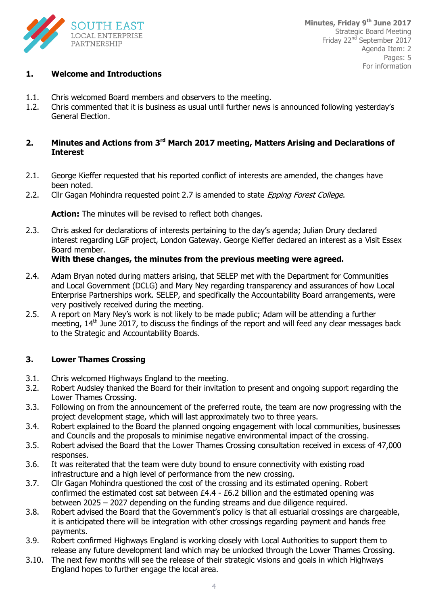

#### **1. Welcome and Introductions**

- 1.1. Chris welcomed Board members and observers to the meeting.
- 1.2. Chris commented that it is business as usual until further news is announced following yesterday's General Election.

#### **2. Minutes and Actions from 3rd March 2017 meeting, Matters Arising and Declarations of Interest**

- 2.1. George Kieffer requested that his reported conflict of interests are amended, the changes have been noted.
- 2.2. Cllr Gagan Mohindra requested point 2.7 is amended to state Epping Forest College.

**Action:** The minutes will be revised to reflect both changes.

2.3. Chris asked for declarations of interests pertaining to the day's agenda; Julian Drury declared interest regarding LGF project, London Gateway. George Kieffer declared an interest as a Visit Essex Board member.

#### **With these changes, the minutes from the previous meeting were agreed.**

- 2.4. Adam Bryan noted during matters arising, that SELEP met with the Department for Communities and Local Government (DCLG) and Mary Ney regarding transparency and assurances of how Local Enterprise Partnerships work. SELEP, and specifically the Accountability Board arrangements, were very positively received during the meeting.
- 2.5. A report on Mary Ney's work is not likely to be made public; Adam will be attending a further meeting, 14<sup>th</sup> June 2017, to discuss the findings of the report and will feed any clear messages back to the Strategic and Accountability Boards.

#### **3. Lower Thames Crossing**

- 3.1. Chris welcomed Highways England to the meeting.
- 3.2. Robert Audsley thanked the Board for their invitation to present and ongoing support regarding the Lower Thames Crossing.
- 3.3. Following on from the announcement of the preferred route, the team are now progressing with the project development stage, which will last approximately two to three years.
- 3.4. Robert explained to the Board the planned ongoing engagement with local communities, businesses and Councils and the proposals to minimise negative environmental impact of the crossing.
- 3.5. Robert advised the Board that the Lower Thames Crossing consultation received in excess of 47,000 responses.
- 3.6. It was reiterated that the team were duty bound to ensure connectivity with existing road infrastructure and a high level of performance from the new crossing.
- 3.7. Cllr Gagan Mohindra questioned the cost of the crossing and its estimated opening. Robert confirmed the estimated cost sat between £4.4 - £6.2 billion and the estimated opening was between 2025 – 2027 depending on the funding streams and due diligence required.
- 3.8. Robert advised the Board that the Government's policy is that all estuarial crossings are chargeable, it is anticipated there will be integration with other crossings regarding payment and hands free payments.
- 3.9. Robert confirmed Highways England is working closely with Local Authorities to support them to release any future development land which may be unlocked through the Lower Thames Crossing.
- 3.10. The next few months will see the release of their strategic visions and goals in which Highways England hopes to further engage the local area.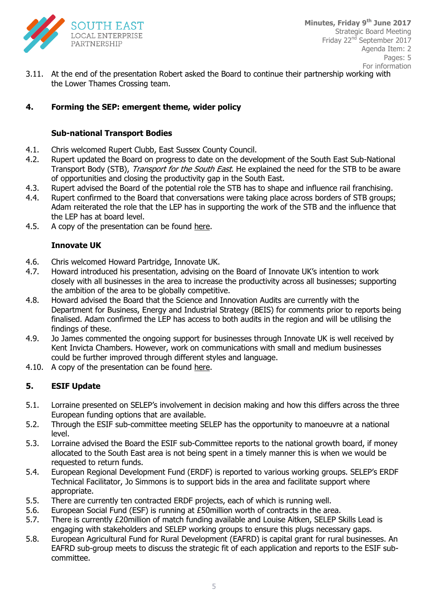

3.11. At the end of the presentation Robert asked the Board to continue their partnership working with the Lower Thames Crossing team.

#### **4. Forming the SEP: emergent theme, wider policy**

#### **Sub-national Transport Bodies**

- 4.1. Chris welcomed Rupert Clubb, East Sussex County Council.
- 4.2. Rupert updated the Board on progress to date on the development of the South East Sub-National Transport Body (STB), *Transport for the South East*. He explained the need for the STB to be aware of opportunities and closing the productivity gap in the South East.
- 4.3. Rupert advised the Board of the potential role the STB has to shape and influence rail franchising.
- 4.4. Rupert confirmed to the Board that conversations were taking place across borders of STB groups; Adam reiterated the role that the LEP has in supporting the work of the STB and the influence that the LEP has at board level.
- 4.5. A copy of the presentation can be found [here.](http://www.southeastlep.com/meeting/selep-strategic-board-meeting-9th-june-2017)

#### **Innovate UK**

- 4.6. Chris welcomed Howard Partridge, Innovate UK.
- 4.7. Howard introduced his presentation, advising on the Board of Innovate UK's intention to work closely with all businesses in the area to increase the productivity across all businesses; supporting the ambition of the area to be globally competitive.
- 4.8. Howard advised the Board that the Science and Innovation Audits are currently with the Department for Business, Energy and Industrial Strategy (BEIS) for comments prior to reports being finalised. Adam confirmed the LEP has access to both audits in the region and will be utilising the findings of these.
- 4.9. Jo James commented the ongoing support for businesses through Innovate UK is well received by Kent Invicta Chambers. However, work on communications with small and medium businesses could be further improved through different styles and language.
- 4.10. A copy of the presentation can be found [here.](http://www.southeastlep.com/meeting/selep-strategic-board-meeting-9th-june-2017)

#### **5. ESIF Update**

- 5.1. Lorraine presented on SELEP's involvement in decision making and how this differs across the three European funding options that are available.
- 5.2. Through the ESIF sub-committee meeting SELEP has the opportunity to manoeuvre at a national level.
- 5.3. Lorraine advised the Board the ESIF sub-Committee reports to the national growth board, if money allocated to the South East area is not being spent in a timely manner this is when we would be requested to return funds.
- 5.4. European Regional Development Fund (ERDF) is reported to various working groups. SELEP's ERDF Technical Facilitator, Jo Simmons is to support bids in the area and facilitate support where appropriate.
- 5.5. There are currently ten contracted ERDF projects, each of which is running well.
- 5.6. European Social Fund (ESF) is running at £50million worth of contracts in the area.
- 5.7. There is currently £20million of match funding available and Louise Aitken, SELEP Skills Lead is engaging with stakeholders and SELEP working groups to ensure this plugs necessary gaps.
- 5.8. European Agricultural Fund for Rural Development (EAFRD) is capital grant for rural businesses. An EAFRD sub-group meets to discuss the strategic fit of each application and reports to the ESIF subcommittee.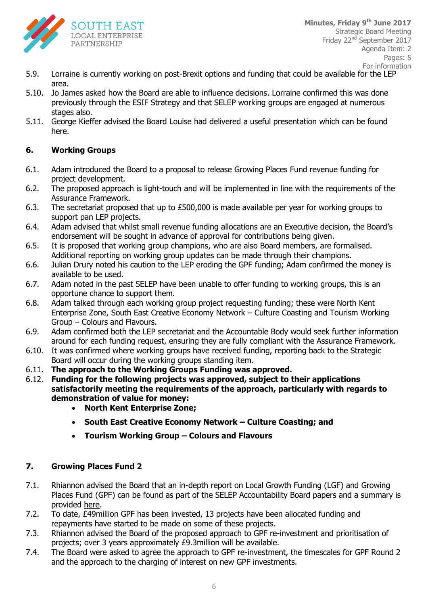

- 5.9. Lorraine is currently working on post-Brexit options and funding that could be available for the LEP area.
- 5.10. Jo James asked how the Board are able to influence decisions. Lorraine confirmed this was done previously through the ESIF Strategy and that SELEP working groups are engaged at numerous stages also.
- 5.11. George Kieffer advised the Board Louise had delivered a useful presentation which can be found [here.](http://www.southeastlep.com/images/uploads/resources/ESF_Overview_for_SELEP_Area_May_2017.pdf)

#### **6. Working Groups**

- 6.1. Adam introduced the Board to a proposal to release Growing Places Fund revenue funding for project development.
- 6.2. The proposed approach is light-touch and will be implemented in line with the requirements of the Assurance Framework.
- 6.3. The secretariat proposed that up to £500,000 is made available per year for working groups to support pan LEP projects.
- 6.4. Adam advised that whilst small revenue funding allocations are an Executive decision, the Board's endorsement will be sought in advance of approval for contributions being given.
- 6.5. It is proposed that working group champions, who are also Board members, are formalised. Additional reporting on working group updates can be made through their champions.
- 6.6. Julian Drury noted his caution to the LEP eroding the GPF funding; Adam confirmed the money is available to be used.
- 6.7. Adam noted in the past SELEP have been unable to offer funding to working groups, this is an opportune chance to support them.
- 6.8. Adam talked through each working group project requesting funding; these were North Kent Enterprise Zone, South East Creative Economy Network – Culture Coasting and Tourism Working Group – Colours and Flavours.
- 6.9. Adam confirmed both the LEP secretariat and the Accountable Body would seek further information around for each funding request, ensuring they are fully compliant with the Assurance Framework.
- 6.10. It was confirmed where working groups have received funding, reporting back to the Strategic Board will occur during the working groups standing item.
- 6.11. **The approach to the Working Groups Funding was approved.**
- 6.12. **Funding for the following projects was approved, subject to their applications satisfactorily meeting the requirements of the approach, particularly with regards to demonstration of value for money:**
	- **North Kent Enterprise Zone;**
	- **South East Creative Economy Network – Culture Coasting; and**
	- **Tourism Working Group – Colours and Flavours**

#### **7. Growing Places Fund 2**

- 7.1. Rhiannon advised the Board that an in-depth report on Local Growth Funding (LGF) and Growing Places Fund (GPF) can be found as part of the SELEP Accountability Board papers and a summary is provided [here.](http://www.southeastlep.com/meeting/selep-accountability-board-26th-may-2017)
- 7.2. To date, £49million GPF has been invested, 13 projects have been allocated funding and repayments have started to be made on some of these projects.
- 7.3. Rhiannon advised the Board of the proposed approach to GPF re-investment and prioritisation of projects; over 3 years approximately £9.3million will be available.
- 7.4. The Board were asked to agree the approach to GPF re-investment, the timescales for GPF Round 2 and the approach to the charging of interest on new GPF investments.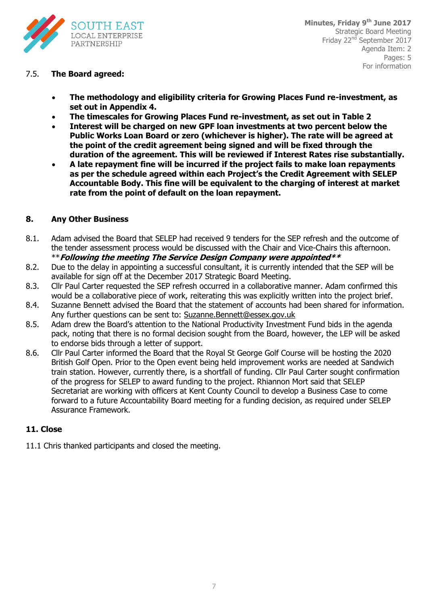

#### 7.5. **The Board agreed:**

- **The methodology and eligibility criteria for Growing Places Fund re-investment, as set out in Appendix 4.**
- **The timescales for Growing Places Fund re-investment, as set out in Table 2**
- **Interest will be charged on new GPF loan investments at two percent below the Public Works Loan Board or zero (whichever is higher). The rate will be agreed at the point of the credit agreement being signed and will be fixed through the duration of the agreement. This will be reviewed if Interest Rates rise substantially.**
- **A late repayment fine will be incurred if the project fails to make loan repayments as per the schedule agreed within each Project's the Credit Agreement with SELEP Accountable Body. This fine will be equivalent to the charging of interest at market rate from the point of default on the loan repayment.**

#### **8. Any Other Business**

- 8.1. Adam advised the Board that SELEP had received 9 tenders for the SEP refresh and the outcome of the tender assessment process would be discussed with the Chair and Vice-Chairs this afternoon. \*\***Following the meeting The Service Design Company were appointed\*\***
- 8.2. Due to the delay in appointing a successful consultant, it is currently intended that the SEP will be available for sign off at the December 2017 Strategic Board Meeting.
- 8.3. Cllr Paul Carter requested the SEP refresh occurred in a collaborative manner. Adam confirmed this would be a collaborative piece of work, reiterating this was explicitly written into the project brief.
- 8.4. Suzanne Bennett advised the Board that the statement of accounts had been shared for information. Any further questions can be sent to: [Suzanne.Bennett@essex.gov.uk](mailto:Suzanne.Bennett@essex.gov.uk)
- 8.5. Adam drew the Board's attention to the National Productivity Investment Fund bids in the agenda pack, noting that there is no formal decision sought from the Board, however, the LEP will be asked to endorse bids through a letter of support.
- 8.6. Cllr Paul Carter informed the Board that the Royal St George Golf Course will be hosting the 2020 British Golf Open. Prior to the Open event being held improvement works are needed at Sandwich train station. However, currently there, is a shortfall of funding. Cllr Paul Carter sought confirmation of the progress for SELEP to award funding to the project. Rhiannon Mort said that SELEP Secretariat are working with officers at Kent County Council to develop a Business Case to come forward to a future Accountability Board meeting for a funding decision, as required under SELEP Assurance Framework.

#### **11. Close**

11.1 Chris thanked participants and closed the meeting.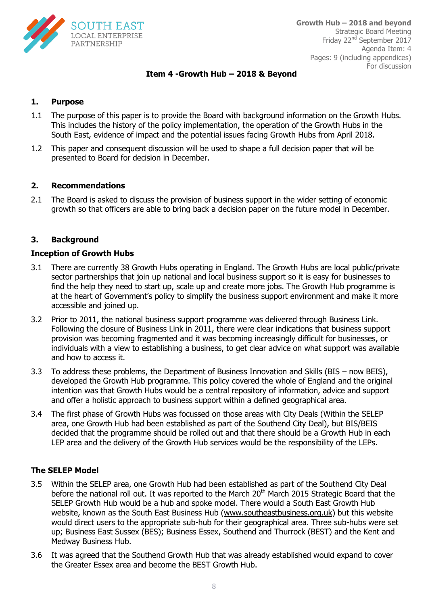

#### **Item 4 -Growth Hub – 2018 & Beyond**

#### **1. Purpose**

- 1.1 The purpose of this paper is to provide the Board with background information on the Growth Hubs. This includes the history of the policy implementation, the operation of the Growth Hubs in the South East, evidence of impact and the potential issues facing Growth Hubs from April 2018.
- 1.2 This paper and consequent discussion will be used to shape a full decision paper that will be presented to Board for decision in December.

#### **2. Recommendations**

2.1 The Board is asked to discuss the provision of business support in the wider setting of economic growth so that officers are able to bring back a decision paper on the future model in December.

#### **3. Background**

#### **Inception of Growth Hubs**

- 3.1 There are currently 38 Growth Hubs operating in England. The Growth Hubs are local public/private sector partnerships that join up national and local business support so it is easy for businesses to find the help they need to start up, scale up and create more jobs. The Growth Hub programme is at the heart of Government's policy to simplify the business support environment and make it more accessible and joined up.
- 3.2 Prior to 2011, the national business support programme was delivered through Business Link. Following the closure of Business Link in 2011, there were clear indications that business support provision was becoming fragmented and it was becoming increasingly difficult for businesses, or individuals with a view to establishing a business, to get clear advice on what support was available and how to access it.
- 3.3 To address these problems, the Department of Business Innovation and Skills (BIS now BEIS), developed the Growth Hub programme. This policy covered the whole of England and the original intention was that Growth Hubs would be a central repository of information, advice and support and offer a holistic approach to business support within a defined geographical area.
- 3.4 The first phase of Growth Hubs was focussed on those areas with City Deals (Within the SELEP area, one Growth Hub had been established as part of the Southend City Deal), but BIS/BEIS decided that the programme should be rolled out and that there should be a Growth Hub in each LEP area and the delivery of the Growth Hub services would be the responsibility of the LEPs.

#### **The SELEP Model**

- 3.5 Within the SELEP area, one Growth Hub had been established as part of the Southend City Deal before the national roll out. It was reported to the March 20<sup>th</sup> March 2015 Strategic Board that the SELEP Growth Hub would be a hub and spoke model. There would a South East Growth Hub website, known as the South East Business Hub [\(www.southeastbusiness.org.uk\)](http://www.southeastbusiness.org.uk/) but this website would direct users to the appropriate sub-hub for their geographical area. Three sub-hubs were set up; Business East Sussex (BES); Business Essex, Southend and Thurrock (BEST) and the Kent and Medway Business Hub.
- 3.6 It was agreed that the Southend Growth Hub that was already established would expand to cover the Greater Essex area and become the BEST Growth Hub.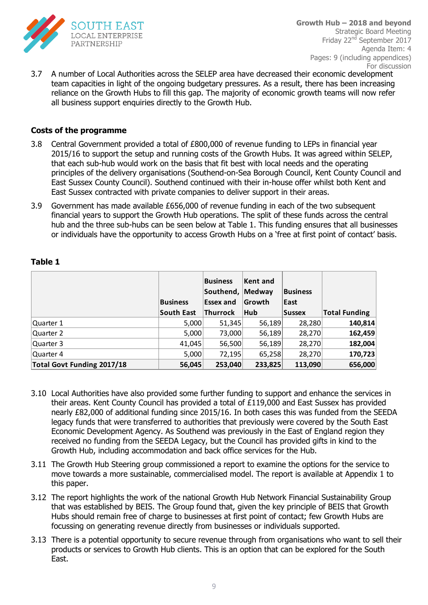

3.7 A number of Local Authorities across the SELEP area have decreased their economic development team capacities in light of the ongoing budgetary pressures. As a result, there has been increasing reliance on the Growth Hubs to fill this gap. The majority of economic growth teams will now refer all business support enquiries directly to the Growth Hub.

#### **Costs of the programme**

- 3.8 Central Government provided a total of £800,000 of revenue funding to LEPs in financial year 2015/16 to support the setup and running costs of the Growth Hubs. It was agreed within SELEP, that each sub-hub would work on the basis that fit best with local needs and the operating principles of the delivery organisations (Southend-on-Sea Borough Council, Kent County Council and East Sussex County Council). Southend continued with their in-house offer whilst both Kent and East Sussex contracted with private companies to deliver support in their areas.
- 3.9 Government has made available £656,000 of revenue funding in each of the two subsequent financial years to support the Growth Hub operations. The split of these funds across the central hub and the three sub-hubs can be seen below at Table 1. This funding ensures that all businesses or individuals have the opportunity to access Growth Hubs on a 'free at first point of contact' basis.

|                            | <b>Business</b> | <b>Business</b><br>Southend, Medway<br>Essex and | Kent and<br><b>Growth</b> | <b>Business</b><br>East |                      |
|----------------------------|-----------------|--------------------------------------------------|---------------------------|-------------------------|----------------------|
|                            | South East      | Thurrock                                         | Hub                       | <b>Sussex</b>           | <b>Total Funding</b> |
| Quarter 1                  | 5,000           | 51,345                                           | 56,189                    | 28,280                  | 140,814              |
| Quarter 2                  | 5,000           | 73,000                                           | 56,189                    | 28,270                  | 162,459              |
| Quarter 3                  | 41,045          | 56,500                                           | 56,189                    | 28,270                  | 182,004              |
| Quarter 4                  | 5,000           | 72,195                                           | 65,258                    | 28,270                  | 170,723              |
| Total Govt Funding 2017/18 | 56,045          | 253,040                                          | 233,825                   | 113,090                 | 656,000              |

#### **Table 1**

- 3.10 Local Authorities have also provided some further funding to support and enhance the services in their areas. Kent County Council has provided a total of £119,000 and East Sussex has provided nearly £82,000 of additional funding since 2015/16. In both cases this was funded from the SEEDA legacy funds that were transferred to authorities that previously were covered by the South East Economic Development Agency. As Southend was previously in the East of England region they received no funding from the SEEDA Legacy, but the Council has provided gifts in kind to the Growth Hub, including accommodation and back office services for the Hub.
- 3.11 The Growth Hub Steering group commissioned a report to examine the options for the service to move towards a more sustainable, commercialised model. The report is available at Appendix 1 to this paper.
- 3.12 The report highlights the work of the national Growth Hub Network Financial Sustainability Group that was established by BEIS. The Group found that, given the key principle of BEIS that Growth Hubs should remain free of charge to businesses at first point of contact; few Growth Hubs are focussing on generating revenue directly from businesses or individuals supported.
- 3.13 There is a potential opportunity to secure revenue through from organisations who want to sell their products or services to Growth Hub clients. This is an option that can be explored for the South East.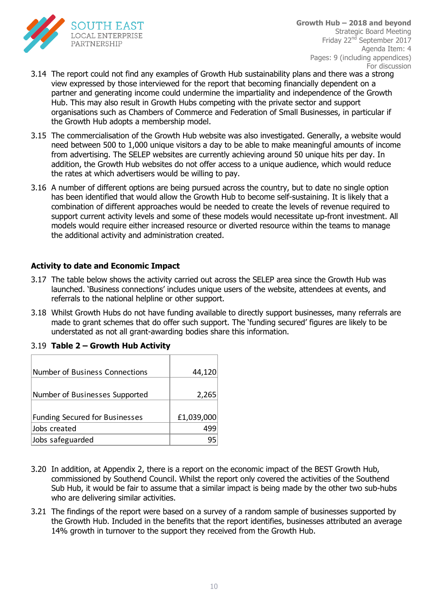

- 3.14 The report could not find any examples of Growth Hub sustainability plans and there was a strong view expressed by those interviewed for the report that becoming financially dependent on a partner and generating income could undermine the impartiality and independence of the Growth Hub. This may also result in Growth Hubs competing with the private sector and support organisations such as Chambers of Commerce and Federation of Small Businesses, in particular if the Growth Hub adopts a membership model.
- 3.15 The commercialisation of the Growth Hub website was also investigated. Generally, a website would need between 500 to 1,000 unique visitors a day to be able to make meaningful amounts of income from advertising. The SELEP websites are currently achieving around 50 unique hits per day. In addition, the Growth Hub websites do not offer access to a unique audience, which would reduce the rates at which advertisers would be willing to pay.
- 3.16 A number of different options are being pursued across the country, but to date no single option has been identified that would allow the Growth Hub to become self-sustaining. It is likely that a combination of different approaches would be needed to create the levels of revenue required to support current activity levels and some of these models would necessitate up-front investment. All models would require either increased resource or diverted resource within the teams to manage the additional activity and administration created.

#### **Activity to date and Economic Impact**

- 3.17 The table below shows the activity carried out across the SELEP area since the Growth Hub was launched. 'Business connections' includes unique users of the website, attendees at events, and referrals to the national helpline or other support.
- 3.18 Whilst Growth Hubs do not have funding available to directly support businesses, many referrals are made to grant schemes that do offer such support. The 'funding secured' figures are likely to be understated as not all grant-awarding bodies share this information.

| Number of Business Connections        | 44,120     |
|---------------------------------------|------------|
|                                       |            |
| Number of Businesses Supported        | 2,265      |
|                                       |            |
| <b>Funding Secured for Businesses</b> | £1,039,000 |
| Jobs created                          |            |
| Jobs safeguarded                      |            |

|  |  | 3.19 Table 2 – Growth Hub Activity |
|--|--|------------------------------------|
|  |  |                                    |

- 3.20 In addition, at Appendix 2, there is a report on the economic impact of the BEST Growth Hub, commissioned by Southend Council. Whilst the report only covered the activities of the Southend Sub Hub, it would be fair to assume that a similar impact is being made by the other two sub-hubs who are delivering similar activities.
- 3.21 The findings of the report were based on a survey of a random sample of businesses supported by the Growth Hub. Included in the benefits that the report identifies, businesses attributed an average 14% growth in turnover to the support they received from the Growth Hub.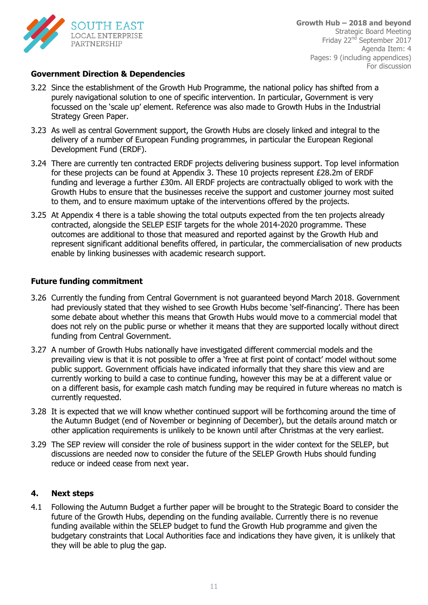

#### **Government Direction & Dependencies**

- 3.22 Since the establishment of the Growth Hub Programme, the national policy has shifted from a purely navigational solution to one of specific intervention. In particular, Government is very focussed on the 'scale up' element. Reference was also made to Growth Hubs in the Industrial Strategy Green Paper.
- 3.23 As well as central Government support, the Growth Hubs are closely linked and integral to the delivery of a number of European Funding programmes, in particular the European Regional Development Fund (ERDF).
- 3.24 There are currently ten contracted ERDF projects delivering business support. Top level information for these projects can be found at Appendix 3. These 10 projects represent £28.2m of ERDF funding and leverage a further £30m. All ERDF projects are contractually obliged to work with the Growth Hubs to ensure that the businesses receive the support and customer journey most suited to them, and to ensure maximum uptake of the interventions offered by the projects.
- 3.25 At Appendix 4 there is a table showing the total outputs expected from the ten projects already contracted, alongside the SELEP ESIF targets for the whole 2014-2020 programme. These outcomes are additional to those that measured and reported against by the Growth Hub and represent significant additional benefits offered, in particular, the commercialisation of new products enable by linking businesses with academic research support.

#### **Future funding commitment**

- 3.26 Currently the funding from Central Government is not guaranteed beyond March 2018. Government had previously stated that they wished to see Growth Hubs become 'self-financing'. There has been some debate about whether this means that Growth Hubs would move to a commercial model that does not rely on the public purse or whether it means that they are supported locally without direct funding from Central Government.
- 3.27 A number of Growth Hubs nationally have investigated different commercial models and the prevailing view is that it is not possible to offer a 'free at first point of contact' model without some public support. Government officials have indicated informally that they share this view and are currently working to build a case to continue funding, however this may be at a different value or on a different basis, for example cash match funding may be required in future whereas no match is currently requested.
- 3.28 It is expected that we will know whether continued support will be forthcoming around the time of the Autumn Budget (end of November or beginning of December), but the details around match or other application requirements is unlikely to be known until after Christmas at the very earliest.
- 3.29 The SEP review will consider the role of business support in the wider context for the SELEP, but discussions are needed now to consider the future of the SELEP Growth Hubs should funding reduce or indeed cease from next year.

#### **4. Next steps**

4.1 Following the Autumn Budget a further paper will be brought to the Strategic Board to consider the future of the Growth Hubs, depending on the funding available. Currently there is no revenue funding available within the SELEP budget to fund the Growth Hub programme and given the budgetary constraints that Local Authorities face and indications they have given, it is unlikely that they will be able to plug the gap.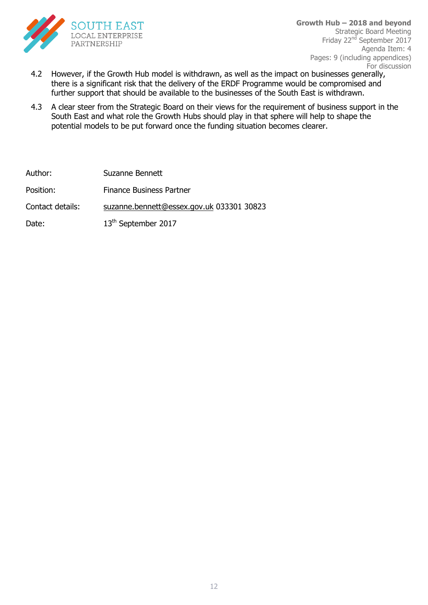

- 4.2 However, if the Growth Hub model is withdrawn, as well as the impact on businesses generally, there is a significant risk that the delivery of the ERDF Programme would be compromised and further support that should be available to the businesses of the South East is withdrawn.
- 4.3 A clear steer from the Strategic Board on their views for the requirement of business support in the South East and what role the Growth Hubs should play in that sphere will help to shape the potential models to be put forward once the funding situation becomes clearer.

Author: Suzanne Bennett Position: Finance Business Partner Contact details: [suzanne.bennett@essex.gov.uk](mailto:suzanne.bennett@essex.gov.uk) 033301 30823 Date: 13<sup>th</sup> September 2017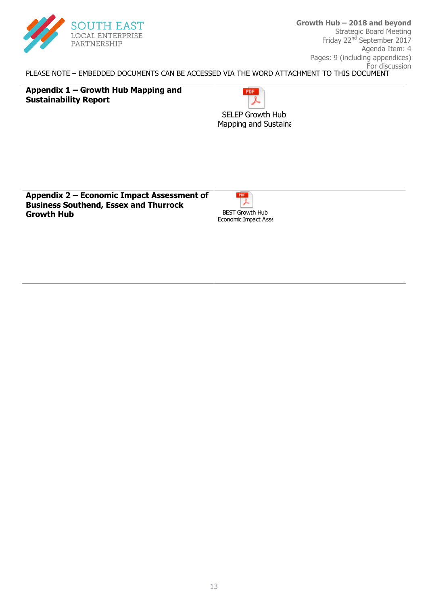

PLEASE NOTE – EMBEDDED DOCUMENTS CAN BE ACCESSED VIA THE WORD ATTACHMENT TO THIS DOCUMENT To:

| Appendix 1 - Growth Hub Mapping and<br><b>Sustainability Report</b> | <b>PDF</b><br><b>SELEP Growth Hub</b><br>Mapping and Sustaina |
|---------------------------------------------------------------------|---------------------------------------------------------------|
| Appendix 2 - Economic Impact Assessment of                          | PDF                                                           |
| <b>Business Southend, Essex and Thurrock</b>                        | <b>BEST Growth Hub</b>                                        |
| <b>Growth Hub</b>                                                   | Economic Impact Asse                                          |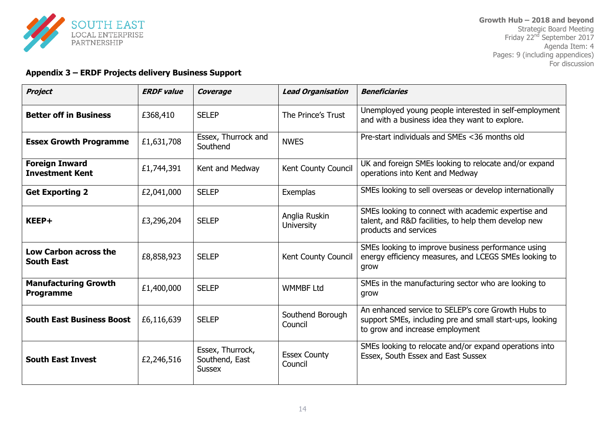

#### **Appendix 3 – ERDF Projects delivery Business Support**

| <b>Project</b>                                  | <b>ERDF</b> value | Coverage                                            | <b>Lead Organisation</b>           | <b>Beneficiaries</b>                                                                                                                              |
|-------------------------------------------------|-------------------|-----------------------------------------------------|------------------------------------|---------------------------------------------------------------------------------------------------------------------------------------------------|
| <b>Better off in Business</b>                   | £368,410          | <b>SELEP</b>                                        | The Prince's Trust                 | Unemployed young people interested in self-employment<br>and with a business idea they want to explore.                                           |
| <b>Essex Growth Programme</b>                   | £1,631,708        | Essex, Thurrock and<br>Southend                     | <b>NWES</b>                        | Pre-start individuals and SMEs <36 months old                                                                                                     |
| <b>Foreign Inward</b><br><b>Investment Kent</b> | £1,744,391        | Kent and Medway                                     | Kent County Council                | UK and foreign SMEs looking to relocate and/or expand<br>operations into Kent and Medway                                                          |
| <b>Get Exporting 2</b>                          | £2,041,000        | <b>SELEP</b>                                        | Exemplas                           | SMEs looking to sell overseas or develop internationally                                                                                          |
| KEEP+                                           | £3,296,204        | <b>SELEP</b>                                        | Anglia Ruskin<br><b>University</b> | SMEs looking to connect with academic expertise and<br>talent, and R&D facilities, to help them develop new<br>products and services              |
| Low Carbon across the<br><b>South East</b>      | £8,858,923        | <b>SELEP</b>                                        | Kent County Council                | SMEs looking to improve business performance using<br>energy efficiency measures, and LCEGS SMEs looking to<br>grow                               |
| <b>Manufacturing Growth</b><br><b>Programme</b> | £1,400,000        | <b>SELEP</b>                                        | <b>WMMBF Ltd</b>                   | SMEs in the manufacturing sector who are looking to<br>grow                                                                                       |
| <b>South East Business Boost</b>                | £6,116,639        | <b>SELEP</b>                                        | Southend Borough<br>Council        | An enhanced service to SELEP's core Growth Hubs to<br>support SMEs, including pre and small start-ups, looking<br>to grow and increase employment |
| <b>South East Invest</b>                        | £2,246,516        | Essex, Thurrock,<br>Southend, East<br><b>Sussex</b> | <b>Essex County</b><br>Council     | SMEs looking to relocate and/or expand operations into<br>Essex, South Essex and East Sussex                                                      |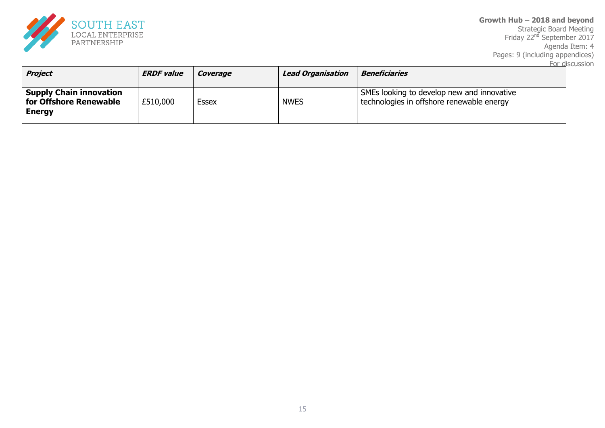

**Growth Hub – 2018 and beyond** Strategic Board Meeting Friday 22<sup>nd</sup> September 2017 Agenda Item: 4 Pages: 9 (including appendices) For discussion

| <b>Project</b>                                                            | <b>ERDF value</b> | Coverage | <b>Lead Organisation</b> | <b>Beneficiaries</b>                                                                    |
|---------------------------------------------------------------------------|-------------------|----------|--------------------------|-----------------------------------------------------------------------------------------|
| <b>Supply Chain innovation</b><br>for Offshore Renewable<br><b>Energy</b> | £510,000          | Essex    | <b>NWES</b>              | SMEs looking to develop new and innovative<br>technologies in offshore renewable energy |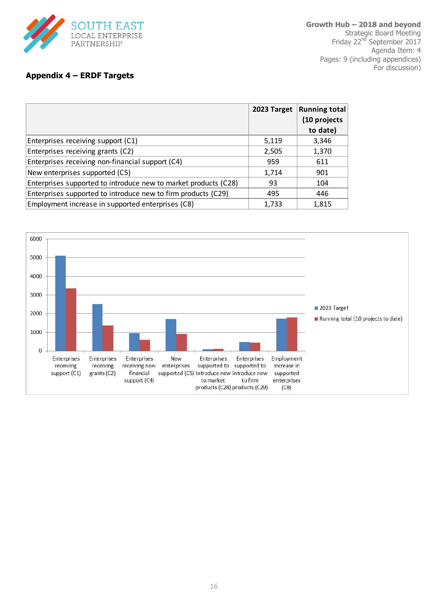

#### **Appendix 4 – ERDF Targets**

|                                                                 | 2023 Target | <b>Running total</b><br>(10 projects<br>to date) |
|-----------------------------------------------------------------|-------------|--------------------------------------------------|
| Enterprises receiving support (C1)                              | 5,119       | 3,346                                            |
| Enterprises receiving grants (C2)                               | 2,505       | 1,370                                            |
| Enterprises receiving non-financial support (C4)                | 959         | 611                                              |
| New enterprises supported (C5)                                  | 1,714       | 901                                              |
| Enterprises supported to introduce new to market products (C28) | 93          | 104                                              |
| Enterprises supported to introduce new to firm products (C29)   | 495         | 446                                              |
| Employment increase in supported enterprises (C8)               | 1,733       | 1,815                                            |

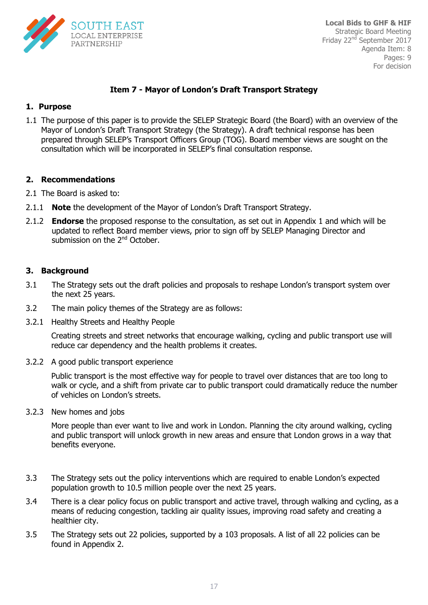

#### **Item 7 - Mayor of London's Draft Transport Strategy**

#### **1. Purpose**

Mayor of London's Draft Transport Strategy (the Strategy). A draft technical response has been 1.1 The purpose of this paper is to provide the SELEP Strategic Board (the Board) with an overview of the prepared through SELEP's Transport Officers Group (TOG). Board member views are sought on the consultation which will be incorporated in SELEP's final consultation response.

#### **2. Recommendations**

- 2.1 The Board is asked to:
- 2.1.1 **Note** the development of the Mayor of London's Draft Transport Strategy.
- 2.1.2 **Endorse** the proposed response to the consultation, as set out in Appendix 1 and which will be updated to reflect Board member views, prior to sign off by SELEP Managing Director and submission on the 2<sup>nd</sup> October.

#### **3. Background**

- 3.1 The Strategy sets out the draft policies and proposals to reshape London's transport system over the next 25 years.
- 3.2 The main policy themes of the Strategy are as follows:
- 3.2.1 Healthy Streets and Healthy People

Creating streets and street networks that encourage walking, cycling and public transport use will reduce car dependency and the health problems it creates.

3.2.2 A good public transport experience

Public transport is the most effective way for people to travel over distances that are too long to walk or cycle, and a shift from private car to public transport could dramatically reduce the number of vehicles on London's streets.

3.2.3 New homes and jobs

More people than ever want to live and work in London. Planning the city around walking, cycling and public transport will unlock growth in new areas and ensure that London grows in a way that benefits everyone.

- 3.3 The Strategy sets out the policy interventions which are required to enable London's expected population growth to 10.5 million people over the next 25 years.
- 3.4 There is a clear policy focus on public transport and active travel, through walking and cycling, as a means of reducing congestion, tackling air quality issues, improving road safety and creating a healthier city.
- 3.5 The Strategy sets out 22 policies, supported by a 103 proposals. A list of all 22 policies can be found in Appendix 2.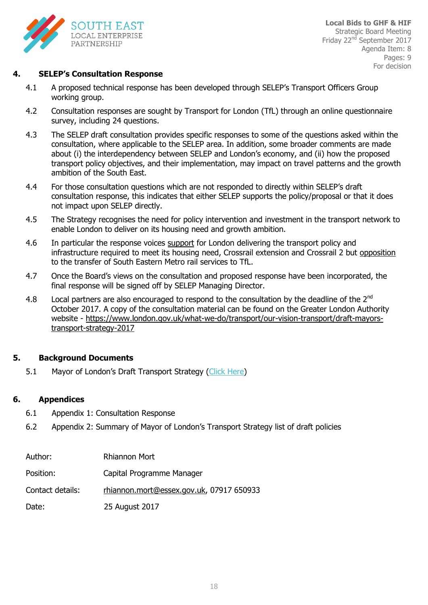

#### **4. SELEP's Consultation Response**

- 4.1 A proposed technical response has been developed through SELEP's Transport Officers Group working group.
- 4.2 Consultation responses are sought by Transport for London (TfL) through an online questionnaire survey, including 24 questions.
- 4.3 The SELEP draft consultation provides specific responses to some of the questions asked within the consultation, where applicable to the SELEP area. In addition, some broader comments are made about (i) the interdependency between SELEP and London's economy, and (ii) how the proposed transport policy objectives, and their implementation, may impact on travel patterns and the growth ambition of the South East.
- 4.4 For those consultation questions which are not responded to directly within SELEP's draft consultation response, this indicates that either SELEP supports the policy/proposal or that it does not impact upon SELEP directly.
- 4.5 The Strategy recognises the need for policy intervention and investment in the transport network to enable London to deliver on its housing need and growth ambition.
- 4.6 In particular the response voices support for London delivering the transport policy and infrastructure required to meet its housing need, Crossrail extension and Crossrail 2 but opposition to the transfer of South Eastern Metro rail services to TfL.
- 4.7 Once the Board's views on the consultation and proposed response have been incorporated, the final response will be signed off by SELEP Managing Director.
- 4.8 Local partners are also encouraged to respond to the consultation by the deadline of the  $2^{nd}$ October 2017. A copy of the consultation material can be found on the Greater London Authority website - [https://www.london.gov.uk/what-we-do/transport/our-vision-transport/draft-mayors](https://www.london.gov.uk/what-we-do/transport/our-vision-transport/draft-mayors-transport-strategy-2017)[transport-strategy-2017](https://www.london.gov.uk/what-we-do/transport/our-vision-transport/draft-mayors-transport-strategy-2017)

#### **5. Background Documents**

5.1 Mayor of London's Draft Transport Strategy ([Click Here\)](https://www.london.gov.uk/what-we-do/transport/our-vision-transport/draft-mayors-transport-strategy-2017)

#### **6. Appendices**

- 6.1 Appendix 1: Consultation Response
- 6.2 Appendix 2: Summary of Mayor of London's Transport Strategy list of draft policies

| Author:          | <b>Rhiannon Mort</b>                     |
|------------------|------------------------------------------|
| Position:        | Capital Programme Manager                |
| Contact details: | rhiannon.mort@essex.gov.uk, 07917 650933 |
| Date:            | 25 August 2017                           |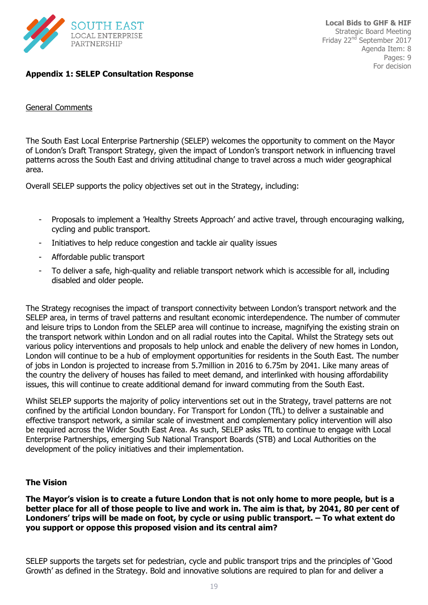

#### **Appendix 1: SELEP Consultation Response**

#### General Comments

The South East Local Enterprise Partnership (SELEP) welcomes the opportunity to comment on the Mayor of London's Draft Transport Strategy, given the impact of London's transport network in influencing travel patterns across the South East and driving attitudinal change to travel across a much wider geographical area.

Overall SELEP supports the policy objectives set out in the Strategy, including:

- Proposals to implement a 'Healthy Streets Approach' and active travel, through encouraging walking, cycling and public transport.
- Initiatives to help reduce congestion and tackle air quality issues
- Affordable public transport
- To deliver a safe, high-quality and reliable transport network which is accessible for all, including disabled and older people.

The Strategy recognises the impact of transport connectivity between London's transport network and the SELEP area, in terms of travel patterns and resultant economic interdependence. The number of commuter and leisure trips to London from the SELEP area will continue to increase, magnifying the existing strain on the transport network within London and on all radial routes into the Capital. Whilst the Strategy sets out various policy interventions and proposals to help unlock and enable the delivery of new homes in London, London will continue to be a hub of employment opportunities for residents in the South East. The number of jobs in London is projected to increase from 5.7million in 2016 to 6.75m by 2041. Like many areas of the country the delivery of houses has failed to meet demand, and interlinked with housing affordability issues, this will continue to create additional demand for inward commuting from the South East.

Whilst SELEP supports the majority of policy interventions set out in the Strategy, travel patterns are not confined by the artificial London boundary. For Transport for London (TfL) to deliver a sustainable and effective transport network, a similar scale of investment and complementary policy intervention will also be required across the Wider South East Area. As such, SELEP asks TfL to continue to engage with Local Enterprise Partnerships, emerging Sub National Transport Boards (STB) and Local Authorities on the development of the policy initiatives and their implementation.

#### **The Vision**

**The Mayor's vision is to create a future London that is not only home to more people, but is a better place for all of those people to live and work in. The aim is that, by 2041, 80 per cent of Londoners' trips will be made on foot, by cycle or using public transport. – To what extent do you support or oppose this proposed vision and its central aim?**

SELEP supports the targets set for pedestrian, cycle and public transport trips and the principles of 'Good Growth' as defined in the Strategy. Bold and innovative solutions are required to plan for and deliver a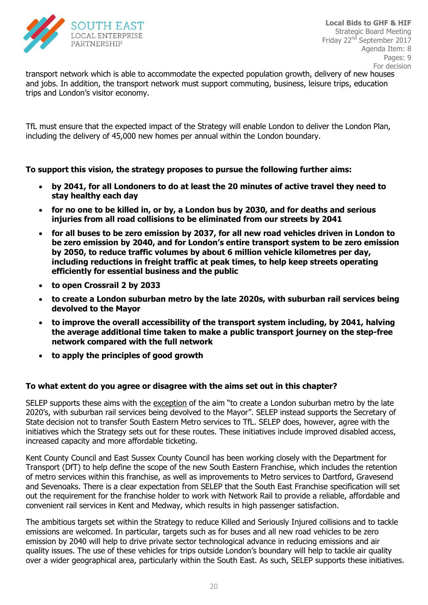

transport network which is able to accommodate the expected population growth, delivery of new houses and jobs. In addition, the transport network must support commuting, business, leisure trips, education trips and London's visitor economy.

TfL must ensure that the expected impact of the Strategy will enable London to deliver the London Plan, including the delivery of 45,000 new homes per annual within the London boundary.

#### **To support this vision, the strategy proposes to pursue the following further aims:**

- **by 2041, for all Londoners to do at least the 20 minutes of active travel they need to stay healthy each day**
- **for no one to be killed in, or by, a London bus by 2030, and for deaths and serious injuries from all road collisions to be eliminated from our streets by 2041**
- **for all buses to be zero emission by 2037, for all new road vehicles driven in London to be zero emission by 2040, and for London's entire transport system to be zero emission by 2050, to reduce traffic volumes by about 6 million vehicle kilometres per day, including reductions in freight traffic at peak times, to help keep streets operating efficiently for essential business and the public**
- **to open Crossrail 2 by 2033**
- **to create a London suburban metro by the late 2020s, with suburban rail services being devolved to the Mayor**
- **to improve the overall accessibility of the transport system including, by 2041, halving the average additional time taken to make a public transport journey on the step-free network compared with the full network**
- **to apply the principles of good growth**

#### **To what extent do you agree or disagree with the aims set out in this chapter?**

SELEP supports these aims with the exception of the aim "to create a London suburban metro by the late 2020's, with suburban rail services being devolved to the Mayor". SELEP instead supports the Secretary of State decision not to transfer South Eastern Metro services to TfL. SELEP does, however, agree with the initiatives which the Strategy sets out for these routes. These initiatives include improved disabled access, increased capacity and more affordable ticketing.

Kent County Council and East Sussex County Council has been working closely with the Department for Transport (DfT) to help define the scope of the new South Eastern Franchise, which includes the retention of metro services within this franchise, as well as improvements to Metro services to Dartford, Gravesend and Sevenoaks. There is a clear expectation from SELEP that the South East Franchise specification will set out the requirement for the franchise holder to work with Network Rail to provide a reliable, affordable and convenient rail services in Kent and Medway, which results in high passenger satisfaction.

The ambitious targets set within the Strategy to reduce Killed and Seriously Injured collisions and to tackle emissions are welcomed. In particular, targets such as for buses and all new road vehicles to be zero emission by 2040 will help to drive private sector technological advance in reducing emissions and air quality issues. The use of these vehicles for trips outside London's boundary will help to tackle air quality over a wider geographical area, particularly within the South East. As such, SELEP supports these initiatives.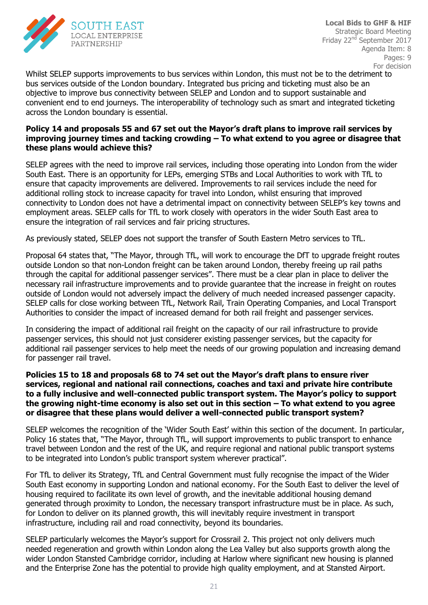

For Endorsement Whilst SELEP supports improvements to bus services within London, this must not be to the detriment to bus services outside of the London boundary. Integrated bus pricing and ticketing must also be an objective to improve bus connectivity between SELEP and London and to support sustainable and convenient end to end journeys. The interoperability of technology such as smart and integrated ticketing across the London boundary is essential.

#### Policy 14 and proposals 55 and 67 set out the Mayor's draft plans to improve rail services by improving journey times and tacking crowding – To what extend to you agree or disagree that **these plans would achieve this?**

SELEP agrees with the need to improve rail services, including those operating into London from the wider South East. There is an opportunity for LEPs, emerging STBs and Local Authorities to work with TfL to ensure that capacity improvements are delivered. Improvements to rail services include the need for additional rolling stock to increase capacity for travel into London, whilst ensuring that improved connectivity to London does not have a detrimental impact on connectivity between SELEP's key towns and employment areas. SELEP calls for TfL to work closely with operators in the wider South East area to ensure the integration of rail services and fair pricing structures.

As previously stated, SELEP does not support the transfer of South Eastern Metro services to TfL.

Proposal 64 states that, "The Mayor, through TfL, will work to encourage the DfT to upgrade freight routes outside London so that non-London freight can be taken around London, thereby freeing up rail paths through the capital for additional passenger services". There must be a clear plan in place to deliver the necessary rail infrastructure improvements and to provide guarantee that the increase in freight on routes outside of London would not adversely impact the delivery of much needed increased passenger capacity. SELEP calls for close working between TfL, Network Rail, Train Operating Companies, and Local Transport Authorities to consider the impact of increased demand for both rail freight and passenger services.

In considering the impact of additional rail freight on the capacity of our rail infrastructure to provide passenger services, this should not just considerer existing passenger services, but the capacity for additional rail passenger services to help meet the needs of our growing population and increasing demand for passenger rail travel.

#### **Policies 15 to 18 and proposals 68 to 74 set out the Mayor's draft plans to ensure river services, regional and national rail connections, coaches and taxi and private hire contribute to a fully inclusive and well-connected public transport system. The Mayor's policy to support the growing night-time economy is also set out in this section – To what extend to you agree or disagree that these plans would deliver a well-connected public transport system?**

SELEP welcomes the recognition of the 'Wider South East' within this section of the document. In particular, Policy 16 states that, "The Mayor, through TfL, will support improvements to public transport to enhance travel between London and the rest of the UK, and require regional and national public transport systems to be integrated into London's public transport system wherever practical".

For TfL to deliver its Strategy, TfL and Central Government must fully recognise the impact of the Wider South East economy in supporting London and national economy. For the South East to deliver the level of housing required to facilitate its own level of growth, and the inevitable additional housing demand generated through proximity to London, the necessary transport infrastructure must be in place. As such, for London to deliver on its planned growth, this will inevitably require investment in transport infrastructure, including rail and road connectivity, beyond its boundaries.

SELEP particularly welcomes the Mayor's support for Crossrail 2. This project not only delivers much needed regeneration and growth within London along the Lea Valley but also supports growth along the wider London Stansted Cambridge corridor, including at Harlow where significant new housing is planned and the Enterprise Zone has the potential to provide high quality employment, and at Stansted Airport.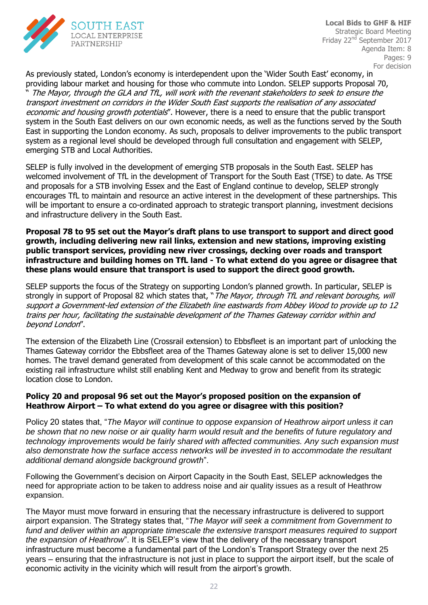

economic and housing growth potentials". However, there is a need to ensure that the public transport by the boath.<br>alig trononort East in supporting the London economy. As such, proposals to deliver improvements to the public transport As previously stated, London's economy is interdependent upon the 'Wider South East' economy, in providing labour market and housing for those who commute into London. SELEP supports Proposal 70, The Mayor, through the GLA and TfL, will work with the revenant stakeholders to seek to ensure the transport investment on corridors in the Wider South East supports the realisation of any associated system in the South East delivers on our own economic needs, as well as the functions served by the South system as a regional level should be developed through full consultation and engagement with SELEP, emerging STB and Local Authorities.

SELEP is fully involved in the development of emerging STB proposals in the South East. SELEP has welcomed involvement of TfL in the development of Transport for the South East (TfSE) to date. As TfSE and proposals for a STB involving Essex and the East of England continue to develop, SELEP strongly encourages TfL to maintain and resource an active interest in the development of these partnerships. This will be important to ensure a co-ordinated approach to strategic transport planning, investment decisions and infrastructure delivery in the South East.

**Proposal 78 to 95 set out the Mayor's draft plans to use transport to support and direct good growth, including delivering new rail links, extension and new stations, improving existing public transport services, providing new river crossings, decking over roads and transport infrastructure and building homes on TfL land - To what extend do you agree or disagree that these plans would ensure that transport is used to support the direct good growth.** 

SELEP supports the focus of the Strategy on supporting London's planned growth. In particular, SELEP is strongly in support of Proposal 82 which states that, "The Mayor, through TfL and relevant boroughs, will support a Government-led extension of the Elizabeth line eastwards from Abbey Wood to provide up to 12 trains per hour, facilitating the sustainable development of the Thames Gateway corridor within and beyond London".

The extension of the Elizabeth Line (Crossrail extension) to Ebbsfleet is an important part of unlocking the Thames Gateway corridor the Ebbsfleet area of the Thames Gateway alone is set to deliver 15,000 new homes. The travel demand generated from development of this scale cannot be accommodated on the existing rail infrastructure whilst still enabling Kent and Medway to grow and benefit from its strategic location close to London.

#### **Policy 20 and proposal 96 set out the Mayor's proposed position on the expansion of Heathrow Airport – To what extend do you agree or disagree with this position?**

Policy 20 states that, "*The Mayor will continue to oppose expansion of Heathrow airport unless it can be shown that no new noise or air quality harm would result and the benefits of future regulatory and technology improvements would be fairly shared with affected communities. Any such expansion must also demonstrate how the surface access networks will be invested in to accommodate the resultant additional demand alongside background growth*".

Following the Government's decision on Airport Capacity in the South East, SELEP acknowledges the need for appropriate action to be taken to address noise and air quality issues as a result of Heathrow expansion.

The Mayor must move forward in ensuring that the necessary infrastructure is delivered to support airport expansion. The Strategy states that, "*The Mayor will seek a commitment from Government to fund and deliver within an appropriate timescale the extensive transport measures required to support the expansion of Heathrow*". It is SELEP's view that the delivery of the necessary transport infrastructure must become a fundamental part of the London's Transport Strategy over the next 25 years – ensuring that the infrastructure is not just in place to support the airport itself, but the scale of economic activity in the vicinity which will result from the airport's growth.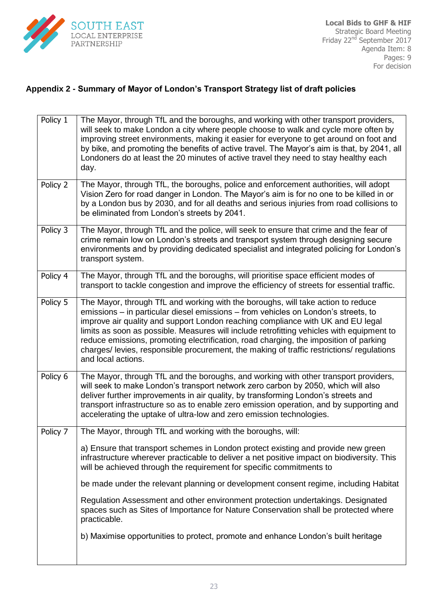

#### **Appendix 2 - Summary of Mayor of London's Transport Strategy list of draft policies**

| Policy 1 | The Mayor, through TfL and the boroughs, and working with other transport providers,<br>will seek to make London a city where people choose to walk and cycle more often by<br>improving street environments, making it easier for everyone to get around on foot and<br>by bike, and promoting the benefits of active travel. The Mayor's aim is that, by 2041, all<br>Londoners do at least the 20 minutes of active travel they need to stay healthy each<br>day.                                                                                             |
|----------|------------------------------------------------------------------------------------------------------------------------------------------------------------------------------------------------------------------------------------------------------------------------------------------------------------------------------------------------------------------------------------------------------------------------------------------------------------------------------------------------------------------------------------------------------------------|
| Policy 2 | The Mayor, through TfL, the boroughs, police and enforcement authorities, will adopt<br>Vision Zero for road danger in London. The Mayor's aim is for no one to be killed in or<br>by a London bus by 2030, and for all deaths and serious injuries from road collisions to<br>be eliminated from London's streets by 2041.                                                                                                                                                                                                                                      |
| Policy 3 | The Mayor, through TfL and the police, will seek to ensure that crime and the fear of<br>crime remain low on London's streets and transport system through designing secure<br>environments and by providing dedicated specialist and integrated policing for London's<br>transport system.                                                                                                                                                                                                                                                                      |
| Policy 4 | The Mayor, through TfL and the boroughs, will prioritise space efficient modes of<br>transport to tackle congestion and improve the efficiency of streets for essential traffic.                                                                                                                                                                                                                                                                                                                                                                                 |
| Policy 5 | The Mayor, through TfL and working with the boroughs, will take action to reduce<br>emissions – in particular diesel emissions – from vehicles on London's streets, to<br>improve air quality and support London reaching compliance with UK and EU legal<br>limits as soon as possible. Measures will include retrofitting vehicles with equipment to<br>reduce emissions, promoting electrification, road charging, the imposition of parking<br>charges/levies, responsible procurement, the making of traffic restrictions/regulations<br>and local actions. |
| Policy 6 | The Mayor, through TfL and the boroughs, and working with other transport providers,<br>will seek to make London's transport network zero carbon by 2050, which will also<br>deliver further improvements in air quality, by transforming London's streets and<br>transport infrastructure so as to enable zero emission operation, and by supporting and<br>accelerating the uptake of ultra-low and zero emission technologies.                                                                                                                                |
| Policy 7 | The Mayor, through TfL and working with the boroughs, will:                                                                                                                                                                                                                                                                                                                                                                                                                                                                                                      |
|          | a) Ensure that transport schemes in London protect existing and provide new green<br>infrastructure wherever practicable to deliver a net positive impact on biodiversity. This<br>will be achieved through the requirement for specific commitments to                                                                                                                                                                                                                                                                                                          |
|          | be made under the relevant planning or development consent regime, including Habitat                                                                                                                                                                                                                                                                                                                                                                                                                                                                             |
|          | Regulation Assessment and other environment protection undertakings. Designated<br>spaces such as Sites of Importance for Nature Conservation shall be protected where<br>practicable.                                                                                                                                                                                                                                                                                                                                                                           |
|          | b) Maximise opportunities to protect, promote and enhance London's built heritage                                                                                                                                                                                                                                                                                                                                                                                                                                                                                |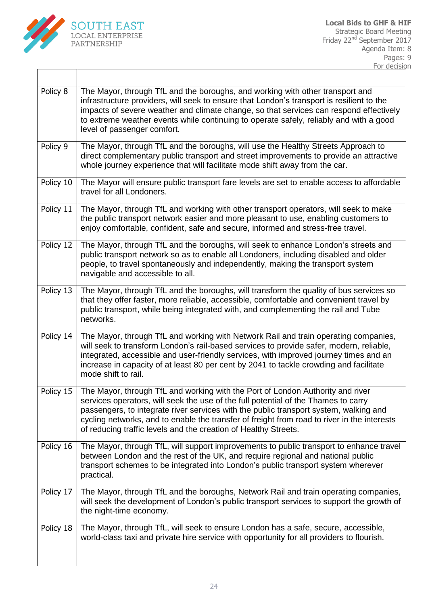

 $\lceil$ 

 $\overline{\phantom{a}}$ 

| Policy 8  | The Mayor, through TfL and the boroughs, and working with other transport and<br>infrastructure providers, will seek to ensure that London's transport is resilient to the<br>impacts of severe weather and climate change, so that services can respond effectively<br>to extreme weather events while continuing to operate safely, reliably and with a good<br>level of passenger comfort.                                   |
|-----------|---------------------------------------------------------------------------------------------------------------------------------------------------------------------------------------------------------------------------------------------------------------------------------------------------------------------------------------------------------------------------------------------------------------------------------|
| Policy 9  | The Mayor, through TfL and the boroughs, will use the Healthy Streets Approach to<br>direct complementary public transport and street improvements to provide an attractive<br>whole journey experience that will facilitate mode shift away from the car.                                                                                                                                                                      |
| Policy 10 | The Mayor will ensure public transport fare levels are set to enable access to affordable<br>travel for all Londoners.                                                                                                                                                                                                                                                                                                          |
| Policy 11 | The Mayor, through TfL and working with other transport operators, will seek to make<br>the public transport network easier and more pleasant to use, enabling customers to<br>enjoy comfortable, confident, safe and secure, informed and stress-free travel.                                                                                                                                                                  |
| Policy 12 | The Mayor, through TfL and the boroughs, will seek to enhance London's streets and<br>public transport network so as to enable all Londoners, including disabled and older<br>people, to travel spontaneously and independently, making the transport system<br>navigable and accessible to all.                                                                                                                                |
| Policy 13 | The Mayor, through TfL and the boroughs, will transform the quality of bus services so<br>that they offer faster, more reliable, accessible, comfortable and convenient travel by<br>public transport, while being integrated with, and complementing the rail and Tube<br>networks.                                                                                                                                            |
| Policy 14 | The Mayor, through TfL and working with Network Rail and train operating companies,<br>will seek to transform London's rail-based services to provide safer, modern, reliable,<br>integrated, accessible and user-friendly services, with improved journey times and an<br>increase in capacity of at least 80 per cent by 2041 to tackle crowding and facilitate<br>mode shift to rail.                                        |
| Policy 15 | The Mayor, through TfL and working with the Port of London Authority and river<br>services operators, will seek the use of the full potential of the Thames to carry<br>passengers, to integrate river services with the public transport system, walking and<br>cycling networks, and to enable the transfer of freight from road to river in the interests<br>of reducing traffic levels and the creation of Healthy Streets. |
| Policy 16 | The Mayor, through TfL, will support improvements to public transport to enhance travel<br>between London and the rest of the UK, and require regional and national public<br>transport schemes to be integrated into London's public transport system wherever<br>practical.                                                                                                                                                   |
| Policy 17 | The Mayor, through TfL and the boroughs, Network Rail and train operating companies,<br>will seek the development of London's public transport services to support the growth of<br>the night-time economy.                                                                                                                                                                                                                     |
| Policy 18 | The Mayor, through TfL, will seek to ensure London has a safe, secure, accessible,<br>world-class taxi and private hire service with opportunity for all providers to flourish.                                                                                                                                                                                                                                                 |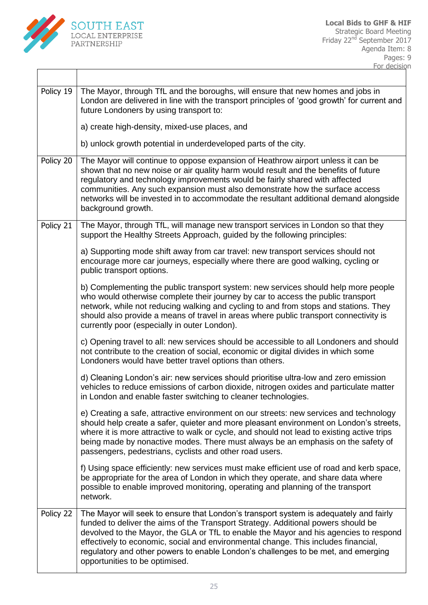

| Policy 19 | The Mayor, through TfL and the boroughs, will ensure that new homes and jobs in<br>London are delivered in line with the transport principles of 'good growth' for current and<br>future Londoners by using transport to:                                                                                                                                                                                                                                                        |
|-----------|----------------------------------------------------------------------------------------------------------------------------------------------------------------------------------------------------------------------------------------------------------------------------------------------------------------------------------------------------------------------------------------------------------------------------------------------------------------------------------|
|           | a) create high-density, mixed-use places, and                                                                                                                                                                                                                                                                                                                                                                                                                                    |
|           | b) unlock growth potential in underdeveloped parts of the city.                                                                                                                                                                                                                                                                                                                                                                                                                  |
| Policy 20 | The Mayor will continue to oppose expansion of Heathrow airport unless it can be<br>shown that no new noise or air quality harm would result and the benefits of future<br>regulatory and technology improvements would be fairly shared with affected<br>communities. Any such expansion must also demonstrate how the surface access<br>networks will be invested in to accommodate the resultant additional demand alongside<br>background growth.                            |
| Policy 21 | The Mayor, through TfL, will manage new transport services in London so that they<br>support the Healthy Streets Approach, guided by the following principles:                                                                                                                                                                                                                                                                                                                   |
|           | a) Supporting mode shift away from car travel: new transport services should not<br>encourage more car journeys, especially where there are good walking, cycling or<br>public transport options.                                                                                                                                                                                                                                                                                |
|           | b) Complementing the public transport system: new services should help more people<br>who would otherwise complete their journey by car to access the public transport<br>network, while not reducing walking and cycling to and from stops and stations. They<br>should also provide a means of travel in areas where public transport connectivity is<br>currently poor (especially in outer London).                                                                          |
|           | c) Opening travel to all: new services should be accessible to all Londoners and should<br>not contribute to the creation of social, economic or digital divides in which some<br>Londoners would have better travel options than others.                                                                                                                                                                                                                                        |
|           | d) Cleaning London's air: new services should prioritise ultra-low and zero emission<br>vehicles to reduce emissions of carbon dioxide, nitrogen oxides and particulate matter<br>in London and enable faster switching to cleaner technologies.                                                                                                                                                                                                                                 |
|           | e) Creating a safe, attractive environment on our streets: new services and technology<br>should help create a safer, quieter and more pleasant environment on London's streets,<br>where it is more attractive to walk or cycle, and should not lead to existing active trips<br>being made by nonactive modes. There must always be an emphasis on the safety of<br>passengers, pedestrians, cyclists and other road users.                                                    |
|           | f) Using space efficiently: new services must make efficient use of road and kerb space,<br>be appropriate for the area of London in which they operate, and share data where<br>possible to enable improved monitoring, operating and planning of the transport<br>network.                                                                                                                                                                                                     |
| Policy 22 | The Mayor will seek to ensure that London's transport system is adequately and fairly<br>funded to deliver the aims of the Transport Strategy. Additional powers should be<br>devolved to the Mayor, the GLA or TfL to enable the Mayor and his agencies to respond<br>effectively to economic, social and environmental change. This includes financial,<br>regulatory and other powers to enable London's challenges to be met, and emerging<br>opportunities to be optimised. |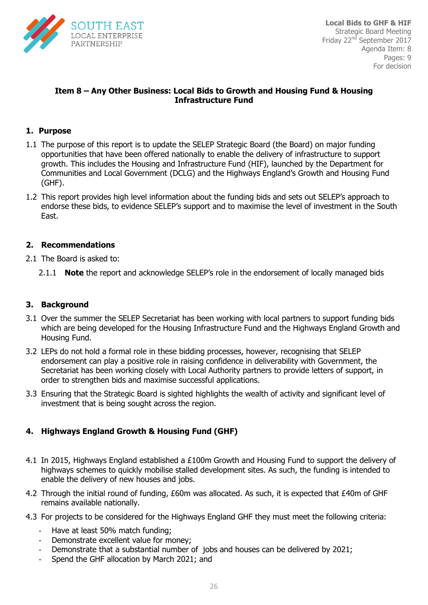

#### **Item 8 – Any Other Business: Local Bids to Growth and Housing Fund & Housing Infrastructure Fund**

#### **1. Purpose**

- 1.1 The purpose of this report is to update the SELEP Strategic Board (the Board) on major funding opportunities that have been offered nationally to enable the delivery of infrastructure to support growth. This includes the Housing and Infrastructure Fund (HIF), launched by the Department for Communities and Local Government (DCLG) and the Highways England's Growth and Housing Fund (GHF).
- 1.2 This report provides high level information about the funding bids and sets out SELEP's approach to endorse these bids, to evidence SELEP's support and to maximise the level of investment in the South East.

#### **2. Recommendations**

- 2.1 The Board is asked to:
	- 2.1.1 **Note** the report and acknowledge SELEP's role in the endorsement of locally managed bids

#### **3. Background**

- 3.1 Over the summer the SELEP Secretariat has been working with local partners to support funding bids which are being developed for the Housing Infrastructure Fund and the Highways England Growth and Housing Fund.
- 3.2 LEPs do not hold a formal role in these bidding processes, however, recognising that SELEP endorsement can play a positive role in raising confidence in deliverability with Government, the Secretariat has been working closely with Local Authority partners to provide letters of support, in order to strengthen bids and maximise successful applications.
- 3.3 Ensuring that the Strategic Board is sighted highlights the wealth of activity and significant level of investment that is being sought across the region.

#### **4. Highways England Growth & Housing Fund (GHF)**

- 4.1 In 2015, Highways England established a £100m Growth and Housing Fund to support the delivery of highways schemes to quickly mobilise stalled development sites. As such, the funding is intended to enable the delivery of new houses and jobs.
- 4.2 Through the initial round of funding, £60m was allocated. As such, it is expected that £40m of GHF remains available nationally.
- 4.3 For projects to be considered for the Highways England GHF they must meet the following criteria:
	- Have at least 50% match funding;
	- Demonstrate excellent value for money:
	- Demonstrate that a substantial number of jobs and houses can be delivered by 2021;
	- Spend the GHF allocation by March 2021; and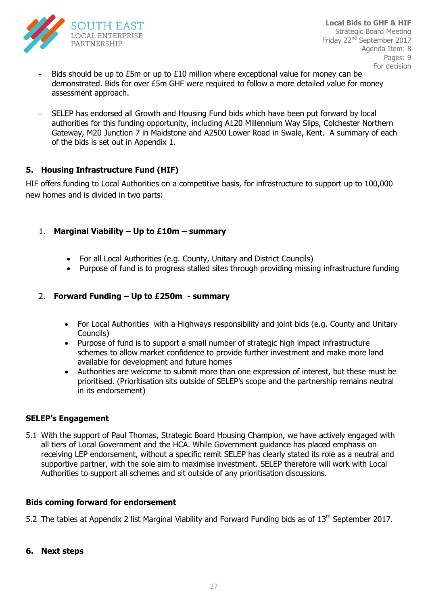

- Bids should be up to  $E5m$  or up to  $E10$  million where exceptional value for money can be demonstrated. Bids for over £5m GHF were required to follow a more detailed value for money assessment approach.
- SELEP has endorsed all Growth and Housing Fund bids which have been put forward by local  $\frac{1}{2}$ For endorsement of  $\frac{1}{2}$ Gateway, M20 Junction 7 in Maidstone and A2500 Lower Road in Swale, Kent. A summary of each authorities for this funding opportunity, including A120 Millennium Way Slips, Colchester Northern of the bids is set out in Appendix 1.

#### **5. Housing Infrastructure Fund (HIF)**

HIF offers funding to Local Authorities on a competitive basis, for infrastructure to support up to 100,000 new homes and is divided in two parts:

- 1. **Marginal Viability – Up to £10m – summary** 
	- For all Local Authorities (e.g. County, Unitary and District Councils)
	- Purpose of fund is to progress stalled sites through providing missing infrastructure funding

#### 2. **Forward Funding – Up to £250m - summary**

- For Local Authorities with a Highways responsibility and joint bids (e.g. County and Unitary Councils)
- Purpose of fund is to support a small number of strategic high impact infrastructure schemes to allow market confidence to provide further investment and make more land available for development and future homes
- Authorities are welcome to submit more than one expression of interest, but these must be prioritised. (Prioritisation sits outside of SELEP's scope and the partnership remains neutral in its endorsement)

#### **SELEP's Engagement**

5.1 With the support of Paul Thomas, Strategic Board Housing Champion, we have actively engaged with all tiers of Local Government and the HCA. While Government guidance has placed emphasis on receiving LEP endorsement, without a specific remit SELEP has clearly stated its role as a neutral and supportive partner, with the sole aim to maximise investment. SELEP therefore will work with Local Authorities to support all schemes and sit outside of any prioritisation discussions.

#### **Bids coming forward for endorsement**

5.2 The tables at Appendix 2 list Marginal Viability and Forward Funding bids as of 13<sup>th</sup> September 2017.

**6. Next steps**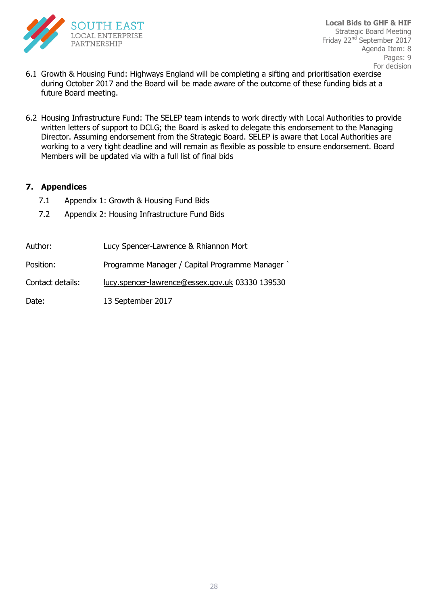

- 6.1 Growth & Housing Fund: Highways England will be completing a sifting and prioritisation exercise during October 2017 and the Board will be made aware of the outcome of these funding bids at a future Board meeting.
- written letters of support to DCLG; the Board is asked to delegate this endorsement to the Managing 6.2 Housing Infrastructure Fund: The SELEP team intends to work directly with Local Authorities to provide Director. Assuming endorsement from the Strategic Board. SELEP is aware that Local Authorities are working to a very tight deadline and will remain as flexible as possible to ensure endorsement. Board Members will be updated via with a full list of final bids

#### **7. Appendices**

- 7.1 Appendix 1: Growth & Housing Fund Bids
- 7.2 Appendix 2: Housing Infrastructure Fund Bids

| Author:          | Lucy Spencer-Lawrence & Rhiannon Mort           |
|------------------|-------------------------------------------------|
| Position:        | Programme Manager / Capital Programme Manager ` |
| Contact details: | lucy.spencer-lawrence@essex.gov.uk 03330 139530 |
| Date:            | 13 September 2017                               |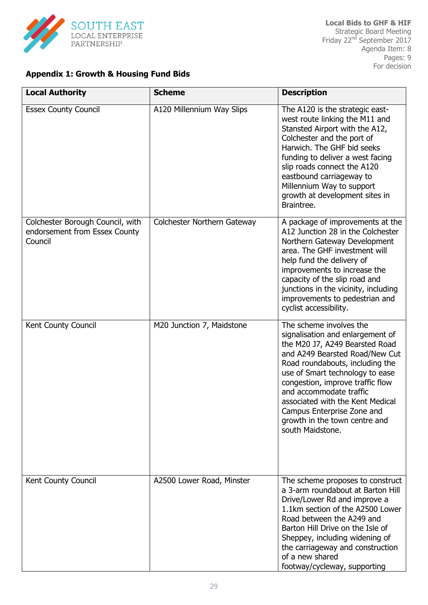

#### **Appendix 1: Growth & Housing Fund Bids**

| <b>Local Authority</b>                                                       | <b>Scheme</b>               | <b>Description</b>                                                                                                                                                                                                                                                                                                                                                                          |
|------------------------------------------------------------------------------|-----------------------------|---------------------------------------------------------------------------------------------------------------------------------------------------------------------------------------------------------------------------------------------------------------------------------------------------------------------------------------------------------------------------------------------|
| <b>Essex County Council</b>                                                  | A120 Millennium Way Slips   | The A120 is the strategic east-<br>west route linking the M11 and<br>Stansted Airport with the A12,<br>Colchester and the port of<br>Harwich. The GHF bid seeks<br>funding to deliver a west facing<br>slip roads connect the A120<br>eastbound carriageway to<br>Millennium Way to support<br>growth at development sites in<br>Braintree.                                                 |
| Colchester Borough Council, with<br>endorsement from Essex County<br>Council | Colchester Northern Gateway | A package of improvements at the<br>A12 Junction 28 in the Colchester<br>Northern Gateway Development<br>area. The GHF investment will<br>help fund the delivery of<br>improvements to increase the<br>capacity of the slip road and<br>junctions in the vicinity, including<br>improvements to pedestrian and<br>cyclist accessibility.                                                    |
| Kent County Council                                                          | M20 Junction 7, Maidstone   | The scheme involves the<br>signalisation and enlargement of<br>the M20 J7, A249 Bearsted Road<br>and A249 Bearsted Road/New Cut<br>Road roundabouts, including the<br>use of Smart technology to ease<br>congestion, improve traffic flow<br>and accommodate traffic<br>associated with the Kent Medical<br>Campus Enterprise Zone and<br>growth in the town centre and<br>south Maidstone. |
| Kent County Council                                                          | A2500 Lower Road, Minster   | The scheme proposes to construct<br>a 3-arm roundabout at Barton Hill<br>Drive/Lower Rd and improve a<br>1.1km section of the A2500 Lower<br>Road between the A249 and<br>Barton Hill Drive on the Isle of<br>Sheppey, including widening of<br>the carriageway and construction<br>of a new shared<br>footway/cycleway, supporting                                                         |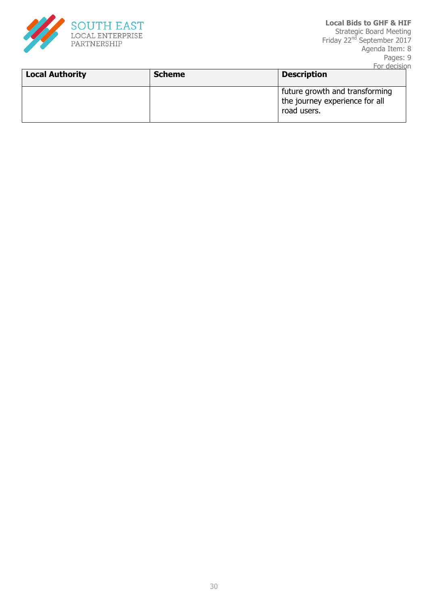

| <b>Local Authority</b> | <b>Scheme</b> | ı vi ucusivii<br><b>Description</b>                                             |
|------------------------|---------------|---------------------------------------------------------------------------------|
|                        |               | future growth and transforming<br>the journey experience for all<br>road users. |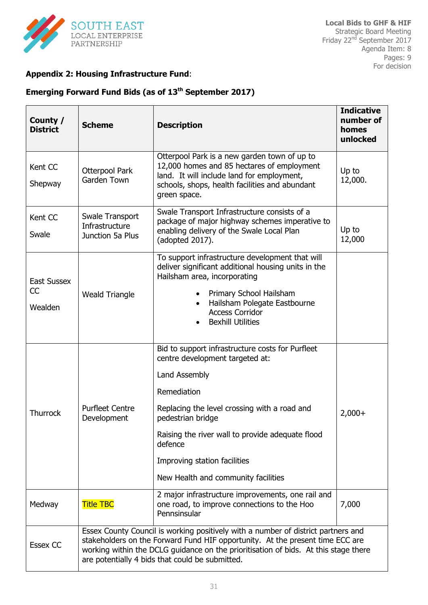

#### **Appendix 2: Housing Infrastructure Fund**:

### **Emerging Forward Fund Bids (as of 13th September 2017)**

| County /<br><b>District</b>  | <b>Scheme</b>                                         | <b>Description</b>                                                                                                                                                                                                                                                                                                             | <b>Indicative</b><br>number of<br>homes<br>unlocked |
|------------------------------|-------------------------------------------------------|--------------------------------------------------------------------------------------------------------------------------------------------------------------------------------------------------------------------------------------------------------------------------------------------------------------------------------|-----------------------------------------------------|
| Kent CC<br>Shepway           | Otterpool Park<br>Garden Town                         | Otterpool Park is a new garden town of up to<br>12,000 homes and 85 hectares of employment<br>land. It will include land for employment,<br>schools, shops, health facilities and abundant<br>green space.                                                                                                                     | Up to<br>12,000.                                    |
| Kent CC<br>Swale             | Swale Transport<br>Infrastructure<br>Junction 5a Plus | Swale Transport Infrastructure consists of a<br>package of major highway schemes imperative to<br>enabling delivery of the Swale Local Plan<br>(adopted 2017).                                                                                                                                                                 | Up to<br>12,000                                     |
| East Sussex<br>CC<br>Wealden | <b>Weald Triangle</b>                                 | To support infrastructure development that will<br>deliver significant additional housing units in the<br>Hailsham area, incorporating<br>Primary School Hailsham<br>$\bullet$<br>Hailsham Polegate Eastbourne<br><b>Access Corridor</b><br><b>Bexhill Utilities</b>                                                           |                                                     |
| <b>Thurrock</b>              | <b>Purfleet Centre</b><br>Development                 | Bid to support infrastructure costs for Purfleet<br>centre development targeted at:<br>Land Assembly<br>Remediation<br>Replacing the level crossing with a road and<br>pedestrian bridge<br>Raising the river wall to provide adequate flood<br>defence<br>Improving station facilities<br>New Health and community facilities | $2,000+$                                            |
| Medway                       | <b>Title TBC</b>                                      | 2 major infrastructure improvements, one rail and<br>one road, to improve connections to the Hoo<br>Pennsinsular                                                                                                                                                                                                               | 7,000                                               |
| <b>Essex CC</b>              |                                                       | Essex County Council is working positively with a number of district partners and<br>stakeholders on the Forward Fund HIF opportunity. At the present time ECC are<br>working within the DCLG guidance on the prioritisation of bids. At this stage there<br>are potentially 4 bids that could be submitted.                   |                                                     |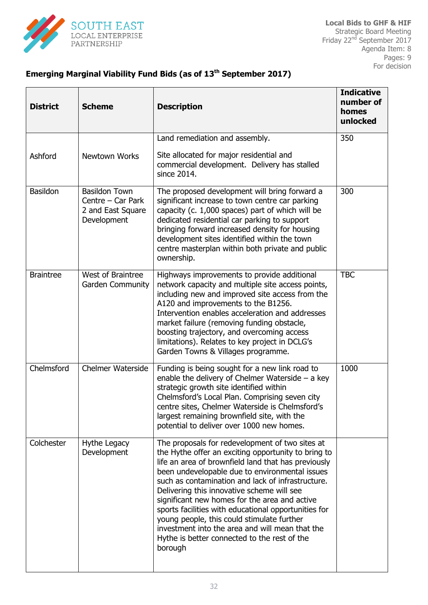

## **Emerging Marginal Viability Fund Bids (as of 13th September 2017)**

| <b>District</b>  | <b>Scheme</b>                                                                 | <b>Description</b>                                                                                                                                                                                                                                                                                                                                                                                                                                                                                                                                                                      | <b>Indicative</b><br>number of<br>homes<br>unlocked |
|------------------|-------------------------------------------------------------------------------|-----------------------------------------------------------------------------------------------------------------------------------------------------------------------------------------------------------------------------------------------------------------------------------------------------------------------------------------------------------------------------------------------------------------------------------------------------------------------------------------------------------------------------------------------------------------------------------------|-----------------------------------------------------|
|                  |                                                                               | Land remediation and assembly.                                                                                                                                                                                                                                                                                                                                                                                                                                                                                                                                                          | 350                                                 |
| Ashford          | Newtown Works                                                                 | Site allocated for major residential and<br>commercial development. Delivery has stalled<br>since 2014.                                                                                                                                                                                                                                                                                                                                                                                                                                                                                 |                                                     |
| Basildon         | <b>Basildon Town</b><br>Centre - Car Park<br>2 and East Square<br>Development | The proposed development will bring forward a<br>significant increase to town centre car parking<br>capacity (c. 1,000 spaces) part of which will be<br>dedicated residential car parking to support<br>bringing forward increased density for housing<br>development sites identified within the town<br>centre masterplan within both private and public<br>ownership.                                                                                                                                                                                                                | 300                                                 |
| <b>Braintree</b> | West of Braintree<br>Garden Community                                         | Highways improvements to provide additional<br>network capacity and multiple site access points,<br>including new and improved site access from the<br>A120 and improvements to the B1256.<br>Intervention enables acceleration and addresses<br>market failure (removing funding obstacle,<br>boosting trajectory, and overcoming access<br>limitations). Relates to key project in DCLG's<br>Garden Towns & Villages programme.                                                                                                                                                       | <b>TBC</b>                                          |
| Chelmsford       | <b>Chelmer Waterside</b>                                                      | Funding is being sought for a new link road to<br>enable the delivery of Chelmer Waterside $-$ a key<br>strategic growth site identified within<br>Chelmsford's Local Plan. Comprising seven city<br>centre sites, Chelmer Waterside is Chelmsford's<br>largest remaining brownfield site, with the<br>potential to deliver over 1000 new homes.                                                                                                                                                                                                                                        | 1000                                                |
| Colchester       | Hythe Legacy<br>Development                                                   | The proposals for redevelopment of two sites at<br>the Hythe offer an exciting opportunity to bring to<br>life an area of brownfield land that has previously<br>been undevelopable due to environmental issues<br>such as contamination and lack of infrastructure.<br>Delivering this innovative scheme will see<br>significant new homes for the area and active<br>sports facilities with educational opportunities for<br>young people, this could stimulate further<br>investment into the area and will mean that the<br>Hythe is better connected to the rest of the<br>borough |                                                     |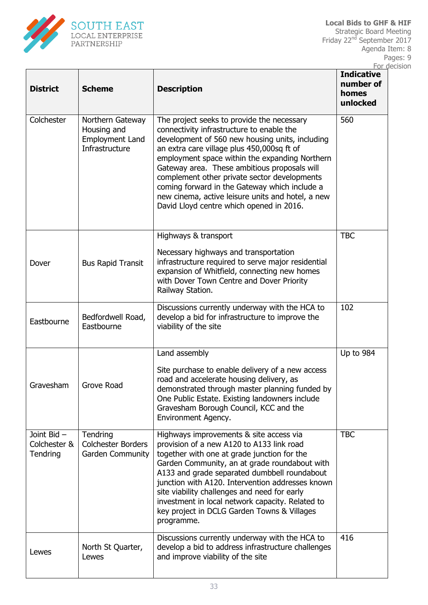

| <b>District</b>                        | <b>Scheme</b>                                                               | <b>Description</b>                                                                                                                                                                                                                                                                                                                                                                                                                                                                           | <b>Indicative</b><br>number of<br>homes<br>unlocked |  |
|----------------------------------------|-----------------------------------------------------------------------------|----------------------------------------------------------------------------------------------------------------------------------------------------------------------------------------------------------------------------------------------------------------------------------------------------------------------------------------------------------------------------------------------------------------------------------------------------------------------------------------------|-----------------------------------------------------|--|
| Colchester                             | Northern Gateway<br>Housing and<br><b>Employment Land</b><br>Infrastructure | The project seeks to provide the necessary<br>connectivity infrastructure to enable the<br>development of 560 new housing units, including<br>an extra care village plus 450,000sq ft of<br>employment space within the expanding Northern<br>Gateway area. These ambitious proposals will<br>complement other private sector developments<br>coming forward in the Gateway which include a<br>new cinema, active leisure units and hotel, a new<br>David Lloyd centre which opened in 2016. | 560                                                 |  |
| Dover                                  | <b>Bus Rapid Transit</b>                                                    | Highways & transport<br>Necessary highways and transportation<br>infrastructure required to serve major residential<br>expansion of Whitfield, connecting new homes<br>with Dover Town Centre and Dover Priority<br>Railway Station.                                                                                                                                                                                                                                                         | <b>TBC</b>                                          |  |
| Eastbourne                             | Bedfordwell Road,<br>Eastbourne                                             | Discussions currently underway with the HCA to<br>develop a bid for infrastructure to improve the<br>viability of the site                                                                                                                                                                                                                                                                                                                                                                   | 102                                                 |  |
| Gravesham                              | <b>Grove Road</b>                                                           | Land assembly<br>Site purchase to enable delivery of a new access<br>road and accelerate housing delivery, as<br>demonstrated through master planning funded by<br>One Public Estate. Existing landowners include<br>Gravesham Borough Council, KCC and the<br>Environment Agency.                                                                                                                                                                                                           | Up to 984                                           |  |
| Joint Bid-<br>Colchester &<br>Tendring | Tendring<br><b>Colchester Borders</b><br>Garden Community                   | Highways improvements & site access via<br>provision of a new A120 to A133 link road<br>together with one at grade junction for the<br>Garden Community, an at grade roundabout with<br>A133 and grade separated dumbbell roundabout<br>junction with A120. Intervention addresses known<br>site viability challenges and need for early<br>investment in local network capacity. Related to<br>key project in DCLG Garden Towns & Villages<br>programme.                                    | <b>TBC</b>                                          |  |
| Lewes                                  | North St Quarter,<br>Lewes                                                  | Discussions currently underway with the HCA to<br>develop a bid to address infrastructure challenges<br>and improve viability of the site                                                                                                                                                                                                                                                                                                                                                    | 416                                                 |  |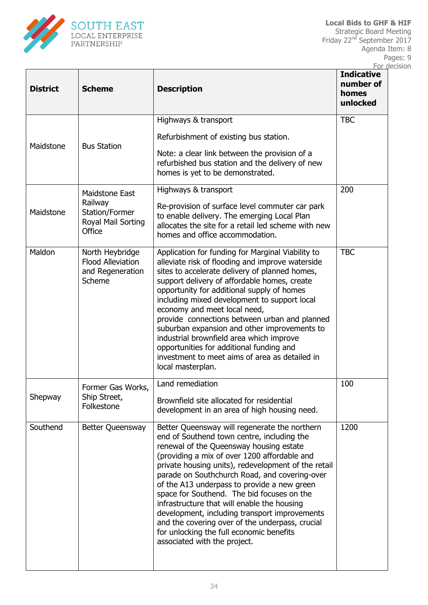

| <b>District</b> | <b>Scheme</b>                                                               | <b>Description</b>                                                                                                                                                                                                                                                                                                                                                                                                                                                                                                                                                                                                         | <u>I UI UCCISIUI</u><br><b>Indicative</b><br>number of<br>homes<br>unlocked |
|-----------------|-----------------------------------------------------------------------------|----------------------------------------------------------------------------------------------------------------------------------------------------------------------------------------------------------------------------------------------------------------------------------------------------------------------------------------------------------------------------------------------------------------------------------------------------------------------------------------------------------------------------------------------------------------------------------------------------------------------------|-----------------------------------------------------------------------------|
|                 |                                                                             | Highways & transport                                                                                                                                                                                                                                                                                                                                                                                                                                                                                                                                                                                                       | <b>TBC</b>                                                                  |
|                 |                                                                             | Refurbishment of existing bus station.                                                                                                                                                                                                                                                                                                                                                                                                                                                                                                                                                                                     |                                                                             |
| Maidstone       | <b>Bus Station</b>                                                          | Note: a clear link between the provision of a<br>refurbished bus station and the delivery of new<br>homes is yet to be demonstrated.                                                                                                                                                                                                                                                                                                                                                                                                                                                                                       |                                                                             |
| Maidstone       | Maidstone East<br>Railway<br>Station/Former<br>Royal Mail Sorting<br>Office | Highways & transport<br>Re-provision of surface level commuter car park<br>to enable delivery. The emerging Local Plan<br>allocates the site for a retail led scheme with new<br>homes and office accommodation.                                                                                                                                                                                                                                                                                                                                                                                                           | 200                                                                         |
| Maldon          | North Heybridge<br><b>Flood Alleviation</b><br>and Regeneration<br>Scheme   | Application for funding for Marginal Viability to<br>alleviate risk of flooding and improve waterside<br>sites to accelerate delivery of planned homes,<br>support delivery of affordable homes, create<br>opportunity for additional supply of homes<br>including mixed development to support local<br>economy and meet local need,<br>provide connections between urban and planned<br>suburban expansion and other improvements to<br>industrial brownfield area which improve<br>opportunities for additional funding and<br>investment to meet aims of area as detailed in<br>local masterplan.                      | <b>TBC</b>                                                                  |
| Shepway         | Former Gas Works.<br>Ship Street,<br>Folkestone                             | Land remediation<br>Brownfield site allocated for residential<br>development in an area of high housing need.                                                                                                                                                                                                                                                                                                                                                                                                                                                                                                              | 100                                                                         |
| Southend        | Better Queensway                                                            | Better Queensway will regenerate the northern<br>end of Southend town centre, including the<br>renewal of the Queensway housing estate<br>(providing a mix of over 1200 affordable and<br>private housing units), redevelopment of the retail<br>parade on Southchurch Road, and covering-over<br>of the A13 underpass to provide a new green<br>space for Southend. The bid focuses on the<br>infrastructure that will enable the housing<br>development, including transport improvements<br>and the covering over of the underpass, crucial<br>for unlocking the full economic benefits<br>associated with the project. | 1200                                                                        |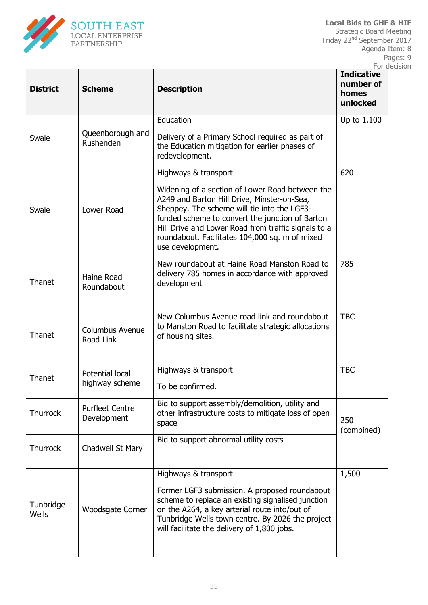

| <b>District</b>    | <b>Scheme</b>                         | <b>Description</b>                                                                                                                                                                                                                                                                                                                                    | ı vi uccisivi i<br><b>Indicative</b><br>number of<br>homes<br>unlocked |
|--------------------|---------------------------------------|-------------------------------------------------------------------------------------------------------------------------------------------------------------------------------------------------------------------------------------------------------------------------------------------------------------------------------------------------------|------------------------------------------------------------------------|
| Swale              | Queenborough and<br>Rushenden         | Education<br>Delivery of a Primary School required as part of<br>the Education mitigation for earlier phases of<br>redevelopment.                                                                                                                                                                                                                     | Up to $1,100$                                                          |
| Swale              | Lower Road                            | Highways & transport<br>Widening of a section of Lower Road between the<br>A249 and Barton Hill Drive, Minster-on-Sea,<br>Sheppey. The scheme will tie into the LGF3-<br>funded scheme to convert the junction of Barton<br>Hill Drive and Lower Road from traffic signals to a<br>roundabout. Facilitates 104,000 sq. m of mixed<br>use development. | 620                                                                    |
| Thanet             | Haine Road<br>Roundabout              | New roundabout at Haine Road Manston Road to<br>delivery 785 homes in accordance with approved<br>development                                                                                                                                                                                                                                         | 785                                                                    |
| Thanet             | Columbus Avenue<br>Road Link          | New Columbus Avenue road link and roundabout<br>to Manston Road to facilitate strategic allocations<br>of housing sites.                                                                                                                                                                                                                              | <b>TBC</b>                                                             |
| Thanet             | Potential local<br>highway scheme     | Highways & transport<br>To be confirmed.                                                                                                                                                                                                                                                                                                              | <b>TBC</b>                                                             |
| <b>Thurrock</b>    | <b>Purfleet Centre</b><br>Development | Bid to support assembly/demolition, utility and<br>other infrastructure costs to mitigate loss of open<br>space                                                                                                                                                                                                                                       | 250<br>(combined)                                                      |
| <b>Thurrock</b>    | Chadwell St Mary                      | Bid to support abnormal utility costs                                                                                                                                                                                                                                                                                                                 |                                                                        |
| Tunbridge<br>Wells | Woodsgate Corner                      | Highways & transport<br>Former LGF3 submission. A proposed roundabout<br>scheme to replace an existing signalised junction<br>on the A264, a key arterial route into/out of<br>Tunbridge Wells town centre. By 2026 the project<br>will facilitate the delivery of 1,800 jobs.                                                                        | 1,500                                                                  |